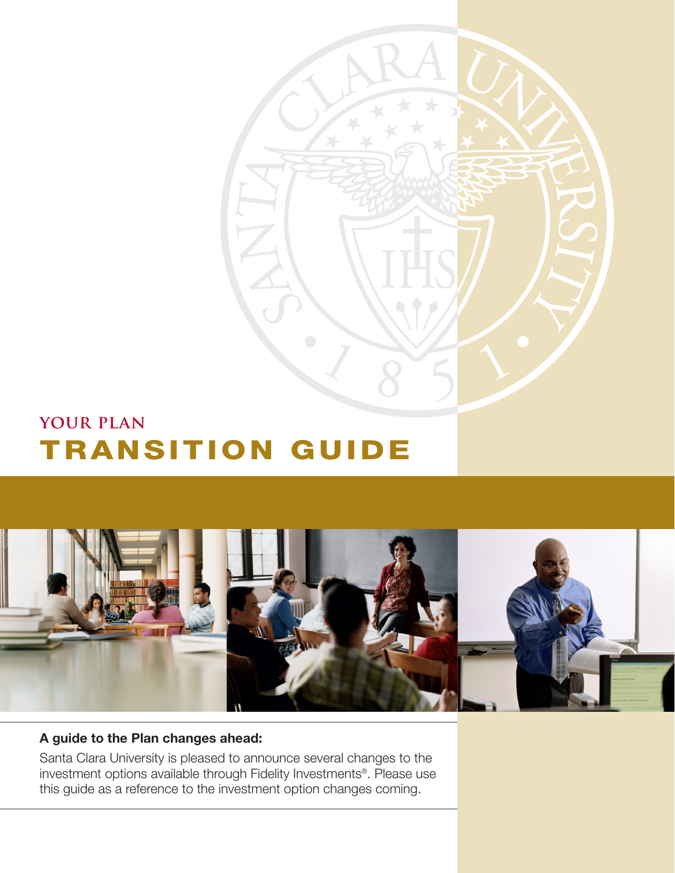

## **your plan** TRANSITION GUIDE



### **A guide to the Plan changes ahead:**

Santa Clara University is pleased to announce several changes to the investment options available through Fidelity Investments®. Please use this guide as a reference to the investment option changes coming.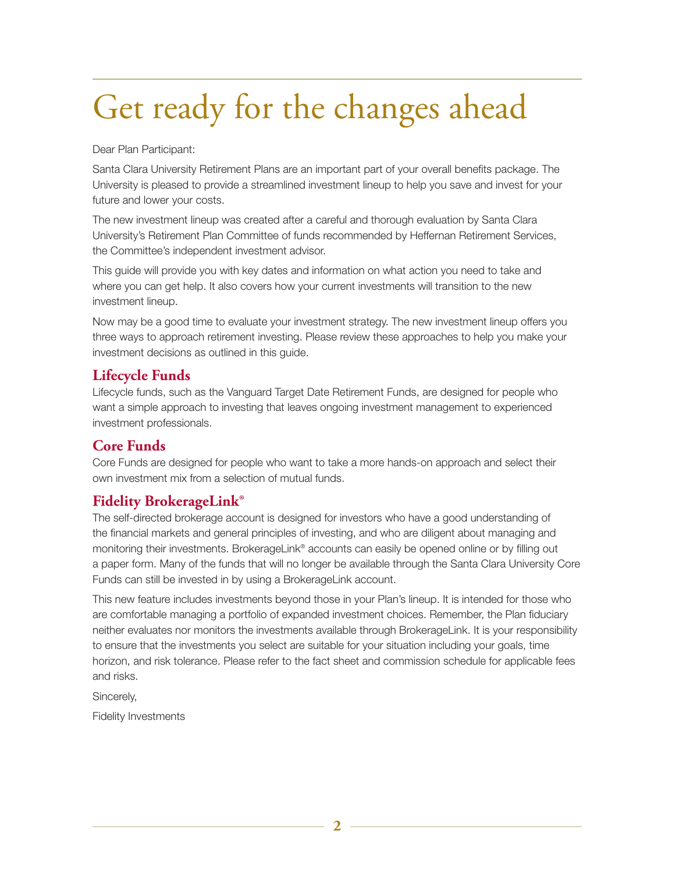## Get ready for the changes ahead

Dear Plan Participant:

Santa Clara University Retirement Plans are an important part of your overall benefits package. The University is pleased to provide a streamlined investment lineup to help you save and invest for your future and lower your costs.

The new investment lineup was created after a careful and thorough evaluation by Santa Clara University's Retirement Plan Committee of funds recommended by Heffernan Retirement Services, the Committee's independent investment advisor.

This guide will provide you with key dates and information on what action you need to take and where you can get help. It also covers how your current investments will transition to the new investment lineup.

Now may be a good time to evaluate your investment strategy. The new investment lineup offers you three ways to approach retirement investing. Please review these approaches to help you make your investment decisions as outlined in this guide.

## **Lifecycle Funds**

Lifecycle funds, such as the Vanguard Target Date Retirement Funds, are designed for people who want a simple approach to investing that leaves ongoing investment management to experienced investment professionals.

## **Core Funds**

Core Funds are designed for people who want to take a more hands-on approach and select their own investment mix from a selection of mutual funds.

## **Fidelity BrokerageLink®**

The self-directed brokerage account is designed for investors who have a good understanding of the financial markets and general principles of investing, and who are diligent about managing and monitoring their investments. BrokerageLink® accounts can easily be opened online or by filling out a paper form. Many of the funds that will no longer be available through the Santa Clara University Core Funds can still be invested in by using a BrokerageLink account.

This new feature includes investments beyond those in your Plan's lineup. It is intended for those who are comfortable managing a portfolio of expanded investment choices. Remember, the Plan fiduciary neither evaluates nor monitors the investments available through BrokerageLink. It is your responsibility to ensure that the investments you select are suitable for your situation including your goals, time horizon, and risk tolerance. Please refer to the fact sheet and commission schedule for applicable fees and risks.

Sincerely,

Fidelity Investments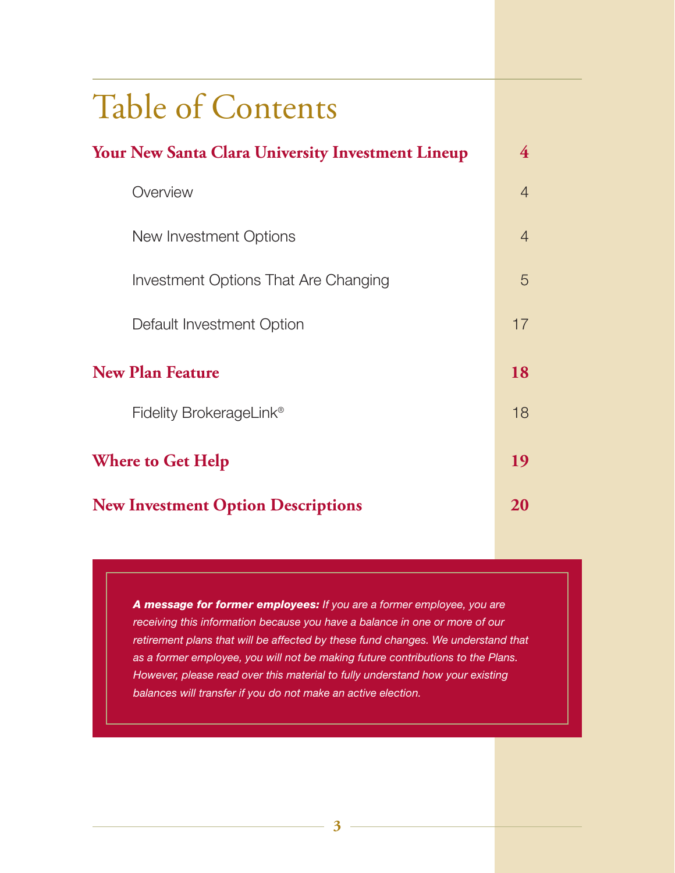| <b>Table of Contents</b>                                 |                |  |  |  |  |
|----------------------------------------------------------|----------------|--|--|--|--|
| <b>Your New Santa Clara University Investment Lineup</b> |                |  |  |  |  |
| Overview                                                 | $\overline{4}$ |  |  |  |  |
| New Investment Options                                   | $\overline{4}$ |  |  |  |  |
| Investment Options That Are Changing                     | 5              |  |  |  |  |
| Default Investment Option                                | 17             |  |  |  |  |
| <b>New Plan Feature</b>                                  |                |  |  |  |  |
| Fidelity BrokerageLink <sup>®</sup>                      | 18             |  |  |  |  |
| <b>Where to Get Help</b>                                 |                |  |  |  |  |
| <b>New Investment Option Descriptions</b>                | 20             |  |  |  |  |

*A message for former employees: If you are a former employee, you are receiving this information because you have a balance in one or more of our retirement plans that will be affected by these fund changes. We understand that as a former employee, you will not be making future contributions to the Plans. However, please read over this material to fully understand how your existing balances will transfer if you do not make an active election.*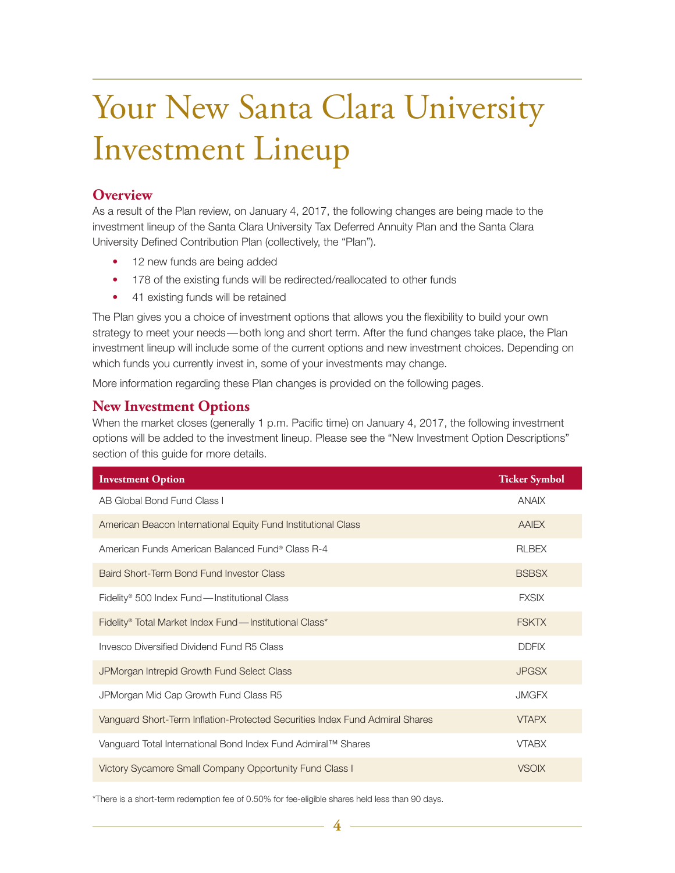## Your New Santa Clara University Investment Lineup

### **Overview**

As a result of the Plan review, on January 4, 2017, the following changes are being made to the investment lineup of the Santa Clara University Tax Deferred Annuity Plan and the Santa Clara University Defined Contribution Plan (collectively, the "Plan").

- 12 new funds are being added
- 178 of the existing funds will be redirected/reallocated to other funds
- 41 existing funds will be retained

The Plan gives you a choice of investment options that allows you the flexibility to build your own strategy to meet your needs— both long and short term. After the fund changes take place, the Plan investment lineup will include some of the current options and new investment choices. Depending on which funds you currently invest in, some of your investments may change.

More information regarding these Plan changes is provided on the following pages.

### **New Investment Options**

When the market closes (generally 1 p.m. Pacific time) on January 4, 2017, the following investment options will be added to the investment lineup. Please see the "New Investment Option Descriptions" section of this guide for more details.

| <b>Investment Option</b>                                                     | <b>Ticker Symbol</b> |
|------------------------------------------------------------------------------|----------------------|
| AB Global Bond Fund Class I                                                  | <b>ANAIX</b>         |
| American Beacon International Equity Fund Institutional Class                | <b>AAIEX</b>         |
| American Funds American Balanced Fund® Class R-4                             | <b>RLBEX</b>         |
| Baird Short-Term Bond Fund Investor Class                                    | <b>BSBSX</b>         |
| Fidelity <sup>®</sup> 500 Index Fund—Institutional Class                     | <b>FXSIX</b>         |
| Fidelity® Total Market Index Fund—Institutional Class*                       | <b>FSKTX</b>         |
| Invesco Diversified Dividend Fund R5 Class                                   | <b>DDFIX</b>         |
| JPMorgan Intrepid Growth Fund Select Class                                   | <b>JPGSX</b>         |
| JPMorgan Mid Cap Growth Fund Class R5                                        | <b>JMGFX</b>         |
| Vanguard Short-Term Inflation-Protected Securities Index Fund Admiral Shares | <b>VTAPX</b>         |
| Vanguard Total International Bond Index Fund Admiral™ Shares                 | <b>VTABX</b>         |
| Victory Sycamore Small Company Opportunity Fund Class I                      | <b>VSOIX</b>         |

\*There is a short-term redemption fee of 0.50% for fee-eligible shares held less than 90 days.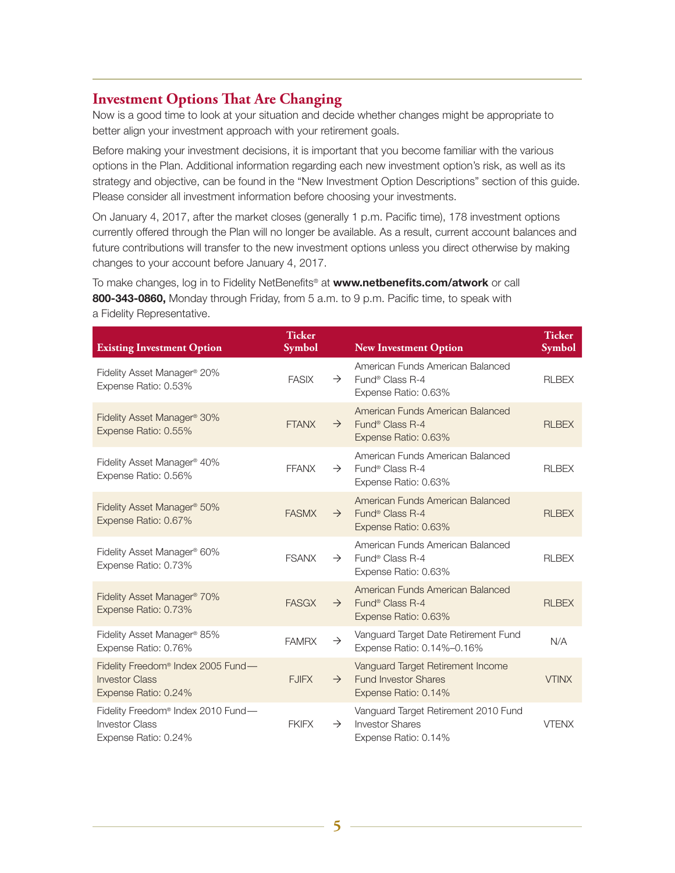### **Investment Options That Are Changing**

Now is a good time to look at your situation and decide whether changes might be appropriate to better align your investment approach with your retirement goals.

Before making your investment decisions, it is important that you become familiar with the various options in the Plan. Additional information regarding each new investment option's risk, as well as its strategy and objective, can be found in the "New Investment Option Descriptions" section of this guide. Please consider all investment information before choosing your investments.

On January 4, 2017, after the market closes (generally 1 p.m. Pacific time), 178 investment options currently offered through the Plan will no longer be available. As a result, current account balances and future contributions will transfer to the new investment options unless you direct otherwise by making changes to your account before January 4, 2017.

To make changes, log in to Fidelity NetBenefits® at **www.netbenefits.com/atwork** or call **800-343-0860,** Monday through Friday, from 5 a.m. to 9 p.m. Pacific time, to speak with a Fidelity Representative.

| <b>Existing Investment Option</b>                                                               | <b>Ticker</b><br><b>Symbol</b> |               | <b>New Investment Option</b>                                                             | <b>Ticker</b><br><b>Symbol</b> |
|-------------------------------------------------------------------------------------------------|--------------------------------|---------------|------------------------------------------------------------------------------------------|--------------------------------|
| Fidelity Asset Manager® 20%<br>Expense Ratio: 0.53%                                             | <b>FASIX</b>                   | $\rightarrow$ | American Funds American Balanced<br>Fund <sup>®</sup> Class R-4<br>Expense Ratio: 0.63%  | <b>RLBEX</b>                   |
| Fidelity Asset Manager <sup>®</sup> 30%<br>Expense Ratio: 0.55%                                 | <b>FTANX</b>                   | $\rightarrow$ | American Funds American Balanced<br>Fund <sup>®</sup> Class R-4<br>Expense Ratio: 0.63%  | <b>RLBEX</b>                   |
| Fidelity Asset Manager <sup>®</sup> 40%<br>Expense Ratio: 0.56%                                 | <b>FFANX</b>                   | $\rightarrow$ | American Funds American Balanced<br>Fund <sup>®</sup> Class R-4<br>Expense Ratio: 0.63%  | <b>RLBEX</b>                   |
| Fidelity Asset Manager <sup>®</sup> 50%<br>Expense Ratio: 0.67%                                 | <b>FASMX</b>                   | $\rightarrow$ | American Funds American Balanced<br>Fund <sup>®</sup> Class R-4<br>Expense Ratio: 0.63%  | <b>RLBEX</b>                   |
| Fidelity Asset Manager <sup>®</sup> 60%<br>Expense Ratio: 0.73%                                 | <b>FSANX</b>                   | $\rightarrow$ | American Funds American Balanced<br>Fund <sup>®</sup> Class R-4<br>Expense Ratio: 0.63%  | <b>RLBEX</b>                   |
| Fidelity Asset Manager <sup>®</sup> 70%<br>Expense Ratio: 0.73%                                 | <b>FASGX</b>                   | $\rightarrow$ | American Funds American Balanced<br>Fund <sup>®</sup> Class R-4<br>Expense Ratio: 0.63%  | <b>RLBEX</b>                   |
| Fidelity Asset Manager <sup>®</sup> 85%<br>Expense Ratio: 0.76%                                 | <b>FAMRX</b>                   | $\rightarrow$ | Vanguard Target Date Retirement Fund<br>Expense Ratio: 0.14%-0.16%                       | N/A                            |
| Fidelity Freedom <sup>®</sup> Index 2005 Fund-<br><b>Investor Class</b><br>Expense Ratio: 0.24% | <b>FJIFX</b>                   | $\rightarrow$ | Vanguard Target Retirement Income<br><b>Fund Investor Shares</b><br>Expense Ratio: 0.14% | <b>VTINX</b>                   |
| Fidelity Freedom® Index 2010 Fund-<br><b>Investor Class</b><br>Expense Ratio: 0.24%             | <b>FKIFX</b>                   | $\rightarrow$ | Vanguard Target Retirement 2010 Fund<br><b>Investor Shares</b><br>Expense Ratio: 0.14%   | <b>VTENX</b>                   |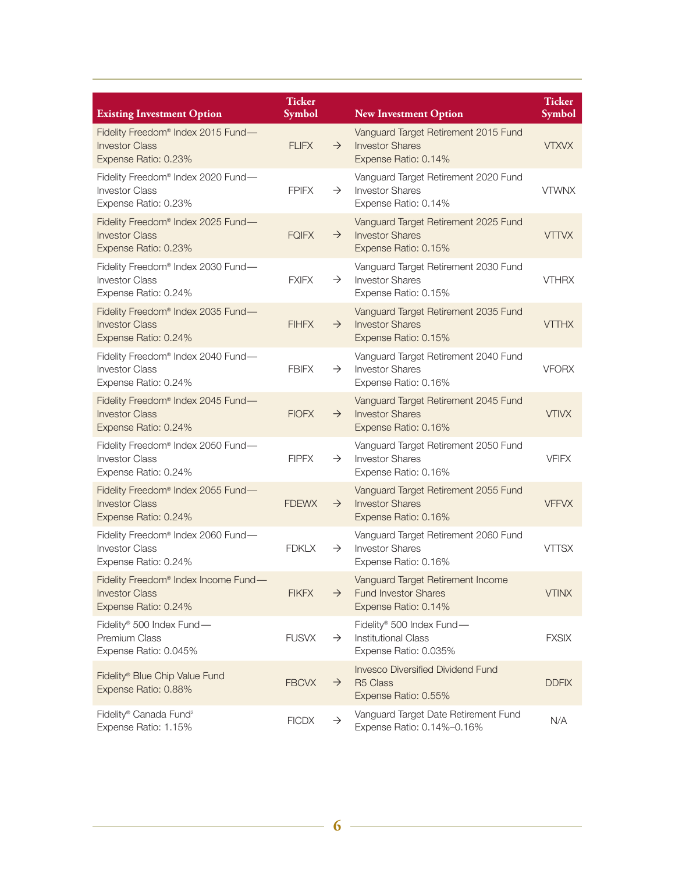| <b>Existing Investment Option</b>                                                                 | <b>Ticker</b><br>Symbol |               | <b>New Investment Option</b>                                                             | <b>Ticker</b><br>Symbol |
|---------------------------------------------------------------------------------------------------|-------------------------|---------------|------------------------------------------------------------------------------------------|-------------------------|
| Fidelity Freedom <sup>®</sup> Index 2015 Fund-<br><b>Investor Class</b><br>Expense Ratio: 0.23%   | <b>FLIFX</b>            | $\rightarrow$ | Vanguard Target Retirement 2015 Fund<br><b>Investor Shares</b><br>Expense Ratio: 0.14%   | <b>VTXVX</b>            |
| Fidelity Freedom® Index 2020 Fund-<br><b>Investor Class</b><br>Expense Ratio: 0.23%               | <b>FPIFX</b>            | $\rightarrow$ | Vanguard Target Retirement 2020 Fund<br><b>Investor Shares</b><br>Expense Ratio: 0.14%   | <b>VTWNX</b>            |
| Fidelity Freedom <sup>®</sup> Index 2025 Fund-<br><b>Investor Class</b><br>Expense Ratio: 0.23%   | <b>FQIFX</b>            | $\rightarrow$ | Vanguard Target Retirement 2025 Fund<br><b>Investor Shares</b><br>Expense Ratio: 0.15%   | <b>VTTVX</b>            |
| Fidelity Freedom® Index 2030 Fund-<br><b>Investor Class</b><br>Expense Ratio: 0.24%               | <b>FXIFX</b>            | $\rightarrow$ | Vanguard Target Retirement 2030 Fund<br><b>Investor Shares</b><br>Expense Ratio: 0.15%   | <b>VTHRX</b>            |
| Fidelity Freedom <sup>®</sup> Index 2035 Fund-<br><b>Investor Class</b><br>Expense Ratio: 0.24%   | <b>FIHFX</b>            | $\rightarrow$ | Vanguard Target Retirement 2035 Fund<br><b>Investor Shares</b><br>Expense Ratio: 0.15%   | <b>VTTHX</b>            |
| Fidelity Freedom® Index 2040 Fund-<br><b>Investor Class</b><br>Expense Ratio: 0.24%               | <b>FBIFX</b>            | $\rightarrow$ | Vanguard Target Retirement 2040 Fund<br><b>Investor Shares</b><br>Expense Ratio: 0.16%   | <b>VFORX</b>            |
| Fidelity Freedom <sup>®</sup> Index 2045 Fund-<br><b>Investor Class</b><br>Expense Ratio: 0.24%   | <b>FIOFX</b>            | $\rightarrow$ | Vanguard Target Retirement 2045 Fund<br><b>Investor Shares</b><br>Expense Ratio: 0.16%   | <b>VTIVX</b>            |
| Fidelity Freedom <sup>®</sup> Index 2050 Fund-<br><b>Investor Class</b><br>Expense Ratio: 0.24%   | <b>FIPFX</b>            | $\rightarrow$ | Vanguard Target Retirement 2050 Fund<br><b>Investor Shares</b><br>Expense Ratio: 0.16%   | <b>VFIFX</b>            |
| Fidelity Freedom <sup>®</sup> Index 2055 Fund-<br><b>Investor Class</b><br>Expense Ratio: 0.24%   | <b>FDEWX</b>            | $\rightarrow$ | Vanguard Target Retirement 2055 Fund<br><b>Investor Shares</b><br>Expense Ratio: 0.16%   | <b>VFFVX</b>            |
| Fidelity Freedom® Index 2060 Fund-<br><b>Investor Class</b><br>Expense Ratio: 0.24%               | <b>FDKLX</b>            | $\rightarrow$ | Vanguard Target Retirement 2060 Fund<br><b>Investor Shares</b><br>Expense Ratio: 0.16%   | <b>VTTSX</b>            |
| Fidelity Freedom <sup>®</sup> Index Income Fund-<br><b>Investor Class</b><br>Expense Ratio: 0.24% | <b>FIKFX</b>            | $\rightarrow$ | Vanguard Target Retirement Income<br><b>Fund Investor Shares</b><br>Expense Ratio: 0.14% | <b>VTINX</b>            |
| Fidelity® 500 Index Fund-<br><b>Premium Class</b><br>Expense Ratio: 0.045%                        | <b>FUSVX</b>            | $\rightarrow$ | Fidelity® 500 Index Fund-<br><b>Institutional Class</b><br>Expense Ratio: 0.035%         | <b>FXSIX</b>            |
| Fidelity® Blue Chip Value Fund<br>Expense Ratio: 0.88%                                            | <b>FBCVX</b>            | $\rightarrow$ | <b>Invesco Diversified Dividend Fund</b><br>R5 Class<br>Expense Ratio: 0.55%             | <b>DDFIX</b>            |
| Fidelity® Canada Fund <sup>2</sup><br>Expense Ratio: 1.15%                                        | <b>FICDX</b>            | $\rightarrow$ | Vanguard Target Date Retirement Fund<br>Expense Ratio: 0.14%-0.16%                       | N/A                     |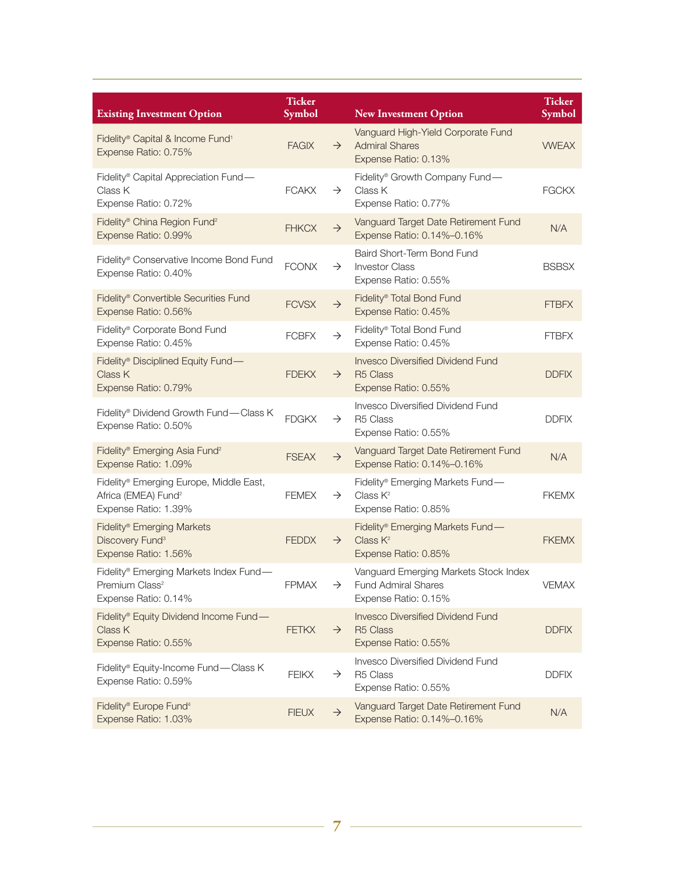| <b>Existing Investment Option</b>                                                                  | <b>Ticker</b><br><b>Symbol</b> |               | <b>New Investment Option</b>                                                                | <b>Ticker</b><br><b>Symbol</b> |
|----------------------------------------------------------------------------------------------------|--------------------------------|---------------|---------------------------------------------------------------------------------------------|--------------------------------|
| Fidelity® Capital & Income Fund <sup>1</sup><br>Expense Ratio: 0.75%                               | <b>FAGIX</b>                   | $\rightarrow$ | Vanguard High-Yield Corporate Fund<br><b>Admiral Shares</b><br>Expense Ratio: 0.13%         | <b>VWEAX</b>                   |
| Fidelity® Capital Appreciation Fund-<br>Class K<br>Expense Ratio: 0.72%                            | <b>FCAKX</b>                   | $\rightarrow$ | Fidelity® Growth Company Fund-<br>Class K<br>Expense Ratio: 0.77%                           | <b>FGCKX</b>                   |
| Fidelity <sup>®</sup> China Region Fund <sup>2</sup><br>Expense Ratio: 0.99%                       | <b>FHKCX</b>                   | $\rightarrow$ | Vanguard Target Date Retirement Fund<br>Expense Ratio: 0.14%-0.16%                          | N/A                            |
| Fidelity® Conservative Income Bond Fund<br>Expense Ratio: 0.40%                                    | <b>FCONX</b>                   | $\rightarrow$ | Baird Short-Term Bond Fund<br><b>Investor Class</b><br>Expense Ratio: 0.55%                 | <b>BSBSX</b>                   |
| Fidelity <sup>®</sup> Convertible Securities Fund<br>Expense Ratio: 0.56%                          | <b>FCVSX</b>                   | $\rightarrow$ | Fidelity® Total Bond Fund<br>Expense Ratio: 0.45%                                           | <b>FTBFX</b>                   |
| Fidelity <sup>®</sup> Corporate Bond Fund<br>Expense Ratio: 0.45%                                  | <b>FCBFX</b>                   | $\rightarrow$ | Fidelity® Total Bond Fund<br>Expense Ratio: 0.45%                                           | <b>FTBFX</b>                   |
| Fidelity® Disciplined Equity Fund-<br>Class K<br>Expense Ratio: 0.79%                              | <b>FDEKX</b>                   | $\rightarrow$ | <b>Invesco Diversified Dividend Fund</b><br>R <sub>5</sub> Class<br>Expense Ratio: 0.55%    | <b>DDFIX</b>                   |
| Fidelity® Dividend Growth Fund—Class K<br>Expense Ratio: 0.50%                                     | <b>FDGKX</b>                   | $\rightarrow$ | Invesco Diversified Dividend Fund<br>R <sub>5</sub> Class<br>Expense Ratio: 0.55%           | <b>DDFIX</b>                   |
| Fidelity® Emerging Asia Fund <sup>2</sup><br>Expense Ratio: 1.09%                                  | <b>FSEAX</b>                   | $\rightarrow$ | Vanguard Target Date Retirement Fund<br>Expense Ratio: 0.14%-0.16%                          | N/A                            |
| Fidelity® Emerging Europe, Middle East,<br>Africa (EMEA) Fund <sup>2</sup><br>Expense Ratio: 1.39% | <b>FEMEX</b>                   | $\rightarrow$ | Fidelity® Emerging Markets Fund-<br>Class $K^2$<br>Expense Ratio: 0.85%                     | <b>FKEMX</b>                   |
| Fidelity® Emerging Markets<br>Discovery Fund <sup>3</sup><br>Expense Ratio: 1.56%                  | <b>FEDDX</b>                   | $\rightarrow$ | Fidelity® Emerging Markets Fund-<br>Class K <sup>2</sup><br>Expense Ratio: 0.85%            | <b>FKEMX</b>                   |
| Fidelity® Emerging Markets Index Fund-<br>Premium Class <sup>2</sup><br>Expense Ratio: 0.14%       | <b>FPMAX</b>                   | $\rightarrow$ | Vanguard Emerging Markets Stock Index<br><b>Fund Admiral Shares</b><br>Expense Ratio: 0.15% | VEMAX                          |
| Fidelity® Equity Dividend Income Fund-<br>Class K<br>Expense Ratio: 0.55%                          | <b>FETKX</b>                   | $\rightarrow$ | <b>Invesco Diversified Dividend Fund</b><br>R5 Class<br>Expense Ratio: 0.55%                | <b>DDFIX</b>                   |
| Fidelity® Equity-Income Fund-Class K<br>Expense Ratio: 0.59%                                       | <b>FEIKX</b>                   | $\rightarrow$ | <b>Invesco Diversified Dividend Fund</b><br>R <sub>5</sub> Class<br>Expense Ratio: 0.55%    | <b>DDFIX</b>                   |
| Fidelity® Europe Fund <sup>4</sup><br>Expense Ratio: 1.03%                                         | <b>FIEUX</b>                   | $\rightarrow$ | Vanguard Target Date Retirement Fund<br>Expense Ratio: 0.14%-0.16%                          | N/A                            |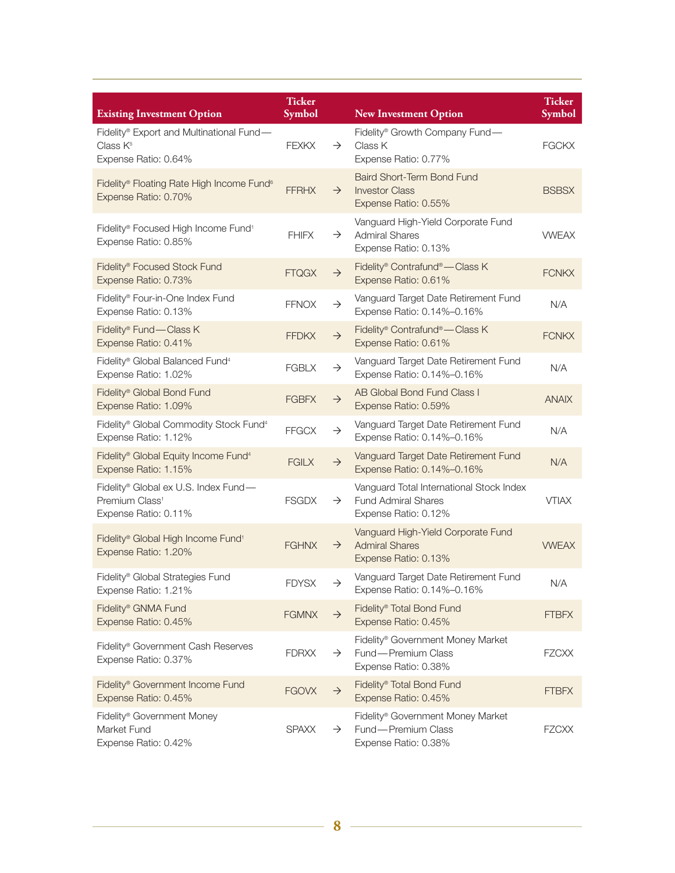| <b>Existing Investment Option</b>                                                          | <b>Ticker</b><br><b>Symbol</b> |               | <b>New Investment Option</b>                                                                   | <b>Ticker</b><br><b>Symbol</b> |
|--------------------------------------------------------------------------------------------|--------------------------------|---------------|------------------------------------------------------------------------------------------------|--------------------------------|
| Fidelity® Export and Multinational Fund-<br>Class K <sup>5</sup><br>Expense Ratio: 0.64%   | <b>FEXKX</b>                   | $\rightarrow$ | Fidelity® Growth Company Fund-<br>Class K<br>Expense Ratio: 0.77%                              | <b>FGCKX</b>                   |
| Fidelity® Floating Rate High Income Fund <sup>6</sup><br>Expense Ratio: 0.70%              | <b>FFRHX</b>                   | $\rightarrow$ | Baird Short-Term Bond Fund<br><b>Investor Class</b><br>Expense Ratio: 0.55%                    | <b>BSBSX</b>                   |
| Fidelity® Focused High Income Fund <sup>1</sup><br>Expense Ratio: 0.85%                    | <b>FHIFX</b>                   | $\rightarrow$ | Vanguard High-Yield Corporate Fund<br><b>Admiral Shares</b><br>Expense Ratio: 0.13%            | <b>VWEAX</b>                   |
| Fidelity® Focused Stock Fund<br>Expense Ratio: 0.73%                                       | <b>FTQGX</b>                   | $\rightarrow$ | Fidelity® Contrafund®—Class K<br>Expense Ratio: 0.61%                                          | <b>FCNKX</b>                   |
| Fidelity® Four-in-One Index Fund<br>Expense Ratio: 0.13%                                   | <b>FFNOX</b>                   | $\rightarrow$ | Vanguard Target Date Retirement Fund<br>Expense Ratio: 0.14%-0.16%                             | N/A                            |
| Fidelity® Fund-Class K<br>Expense Ratio: 0.41%                                             | <b>FFDKX</b>                   | $\rightarrow$ | Fidelity® Contrafund®—Class K<br>Expense Ratio: 0.61%                                          | <b>FCNKX</b>                   |
| Fidelity® Global Balanced Fund <sup>4</sup><br>Expense Ratio: 1.02%                        | <b>FGBLX</b>                   | $\rightarrow$ | Vanguard Target Date Retirement Fund<br>Expense Ratio: 0.14%-0.16%                             | N/A                            |
| Fidelity® Global Bond Fund<br>Expense Ratio: 1.09%                                         | <b>FGBFX</b>                   | $\rightarrow$ | AB Global Bond Fund Class I<br>Expense Ratio: 0.59%                                            | <b>ANAIX</b>                   |
| Fidelity® Global Commodity Stock Fund <sup>4</sup><br>Expense Ratio: 1.12%                 | <b>FFGCX</b>                   | $\rightarrow$ | Vanguard Target Date Retirement Fund<br>Expense Ratio: 0.14%-0.16%                             | N/A                            |
| Fidelity® Global Equity Income Fund <sup>4</sup><br>Expense Ratio: 1.15%                   | <b>FGILX</b>                   | $\rightarrow$ | Vanguard Target Date Retirement Fund<br>Expense Ratio: 0.14%-0.16%                             | N/A                            |
| Fidelity® Global ex U.S. Index Fund-<br>Premium Class <sup>1</sup><br>Expense Ratio: 0.11% | <b>FSGDX</b>                   | $\rightarrow$ | Vanguard Total International Stock Index<br><b>Fund Admiral Shares</b><br>Expense Ratio: 0.12% | <b>VTIAX</b>                   |
| Fidelity® Global High Income Fund <sup>1</sup><br>Expense Ratio: 1.20%                     | <b>FGHNX</b>                   | $\rightarrow$ | Vanguard High-Yield Corporate Fund<br><b>Admiral Shares</b><br>Expense Ratio: 0.13%            | <b>VWEAX</b>                   |
| Fidelity® Global Strategies Fund<br>Expense Ratio: 1.21%                                   | <b>FDYSX</b>                   | $\rightarrow$ | Vanguard Target Date Retirement Fund<br>Expense Ratio: 0.14%-0.16%                             | N/A                            |
| Fidelity® GNMA Fund<br>Expense Ratio: 0.45%                                                | <b>FGMNX</b>                   | $\rightarrow$ | Fidelity <sup>®</sup> Total Bond Fund<br>Expense Ratio: 0.45%                                  | <b>FTBFX</b>                   |
| Fidelity <sup>®</sup> Government Cash Reserves<br>Expense Ratio: 0.37%                     | <b>FDRXX</b>                   | $\rightarrow$ | Fidelity <sup>®</sup> Government Money Market<br>Fund - Premium Class<br>Expense Ratio: 0.38%  | <b>FZCXX</b>                   |
| Fidelity® Government Income Fund<br>Expense Ratio: 0.45%                                   | <b>FGOVX</b>                   | $\rightarrow$ | Fidelity® Total Bond Fund<br>Expense Ratio: 0.45%                                              | <b>FTBFX</b>                   |
| Fidelity® Government Money<br>Market Fund<br>Expense Ratio: 0.42%                          | <b>SPAXX</b>                   | $\rightarrow$ | Fidelity <sup>®</sup> Government Money Market<br>Fund - Premium Class<br>Expense Ratio: 0.38%  | <b>FZCXX</b>                   |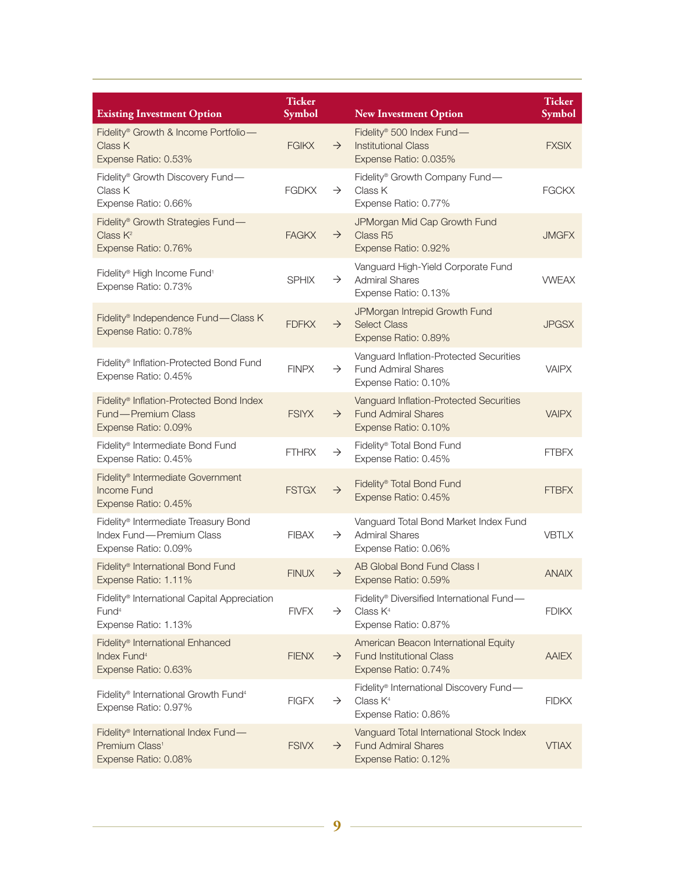| <b>Existing Investment Option</b>                                                                     | <b>Ticker</b><br>Symbol |               | <b>New Investment Option</b>                                                                        | <b>Ticker</b><br>Symbol |
|-------------------------------------------------------------------------------------------------------|-------------------------|---------------|-----------------------------------------------------------------------------------------------------|-------------------------|
| Fidelity® Growth & Income Portfolio-<br>Class K<br>Expense Ratio: 0.53%                               | <b>FGIKX</b>            | $\rightarrow$ | Fidelity® 500 Index Fund-<br><b>Institutional Class</b><br>Expense Ratio: 0.035%                    | <b>FXSIX</b>            |
| Fidelity® Growth Discovery Fund-<br>Class K<br>Expense Ratio: 0.66%                                   | <b>FGDKX</b>            | $\rightarrow$ | Fidelity® Growth Company Fund-<br>Class K<br>Expense Ratio: 0.77%                                   | <b>FGCKX</b>            |
| Fidelity® Growth Strategies Fund-<br>Class K <sup>2</sup><br>Expense Ratio: 0.76%                     | <b>FAGKX</b>            | $\rightarrow$ | JPMorgan Mid Cap Growth Fund<br>Class R <sub>5</sub><br>Expense Ratio: 0.92%                        | <b>JMGFX</b>            |
| Fidelity® High Income Fund <sup>1</sup><br>Expense Ratio: 0.73%                                       | <b>SPHIX</b>            | $\rightarrow$ | Vanguard High-Yield Corporate Fund<br><b>Admiral Shares</b><br>Expense Ratio: 0.13%                 | <b>VWEAX</b>            |
| Fidelity® Independence Fund-Class K<br>Expense Ratio: 0.78%                                           | <b>FDFKX</b>            | $\rightarrow$ | JPMorgan Intrepid Growth Fund<br><b>Select Class</b><br>Expense Ratio: 0.89%                        | <b>JPGSX</b>            |
| Fidelity® Inflation-Protected Bond Fund<br>Expense Ratio: 0.45%                                       | <b>FINPX</b>            | $\rightarrow$ | Vanguard Inflation-Protected Securities<br><b>Fund Admiral Shares</b><br>Expense Ratio: 0.10%       | <b>VAIPX</b>            |
| Fidelity® Inflation-Protected Bond Index<br>Fund - Premium Class<br>Expense Ratio: 0.09%              | <b>FSIYX</b>            | $\rightarrow$ | Vanguard Inflation-Protected Securities<br><b>Fund Admiral Shares</b><br>Expense Ratio: 0.10%       | <b>VAIPX</b>            |
| Fidelity® Intermediate Bond Fund<br>Expense Ratio: 0.45%                                              | <b>FTHRX</b>            | $\rightarrow$ | Fidelity® Total Bond Fund<br>Expense Ratio: 0.45%                                                   | <b>FTBFX</b>            |
| Fidelity <sup>®</sup> Intermediate Government<br>Income Fund<br>Expense Ratio: 0.45%                  | <b>FSTGX</b>            | $\rightarrow$ | Fidelity® Total Bond Fund<br>Expense Ratio: 0.45%                                                   | <b>FTBFX</b>            |
| Fidelity® Intermediate Treasury Bond<br>Index Fund - Premium Class<br>Expense Ratio: 0.09%            | <b>FIBAX</b>            | $\rightarrow$ | Vanguard Total Bond Market Index Fund<br><b>Admiral Shares</b><br>Expense Ratio: 0.06%              | <b>VBTLX</b>            |
| Fidelity <sup>®</sup> International Bond Fund<br>Expense Ratio: 1.11%                                 | <b>FINUX</b>            | $\rightarrow$ | AB Global Bond Fund Class I<br>Expense Ratio: 0.59%                                                 | <b>ANAIX</b>            |
| Fidelity® International Capital Appreciation<br>Fund <sup>4</sup><br>Expense Ratio: 1.13%             | <b>FIVFX</b>            | $\rightarrow$ | Fidelity® Diversified International Fund-<br>Class $K4$<br>Expense Ratio: 0.87%                     | <b>FDIKX</b>            |
| Fidelity <sup>®</sup> International Enhanced<br>Index Fund <sup>4</sup><br>Expense Ratio: 0.63%       | <b>FIENX</b>            | $\rightarrow$ | American Beacon International Equity<br><b>Fund Institutional Class</b><br>Expense Ratio: 0.74%     | <b>AAIEX</b>            |
| Fidelity® International Growth Fund <sup>4</sup><br>Expense Ratio: 0.97%                              | <b>FIGFX</b>            | $\rightarrow$ | Fidelity <sup>®</sup> International Discovery Fund—<br>Class K <sup>4</sup><br>Expense Ratio: 0.86% | <b>FIDKX</b>            |
| Fidelity <sup>®</sup> International Index Fund-<br>Premium Class <sup>1</sup><br>Expense Ratio: 0.08% | <b>FSIVX</b>            | $\rightarrow$ | Vanguard Total International Stock Index<br><b>Fund Admiral Shares</b><br>Expense Ratio: 0.12%      | <b>VTIAX</b>            |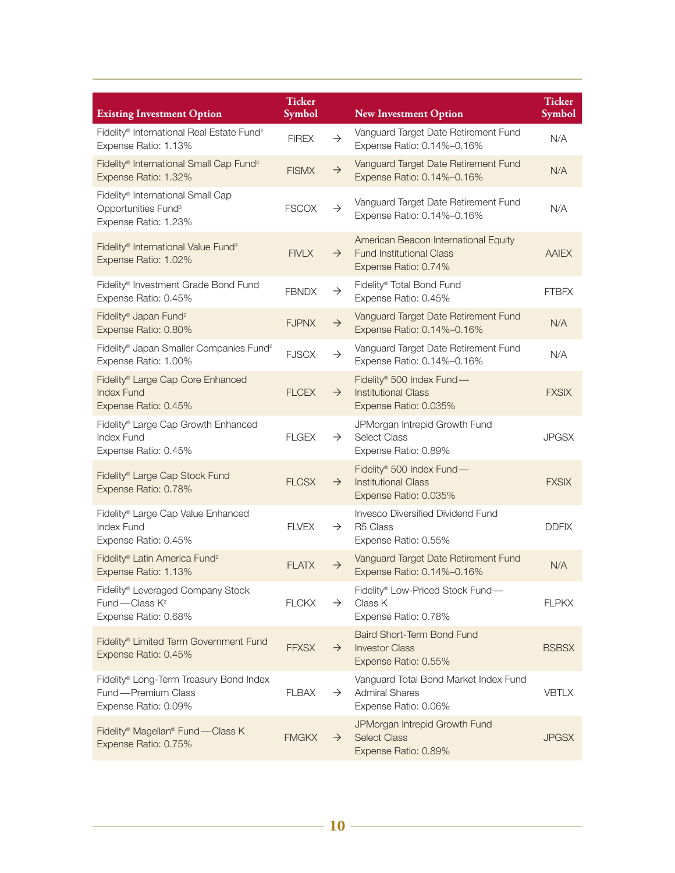| <b>Existing Investment Option</b>                                                            | <b>Ticker</b><br>Symbol |               | <b>New Investment Option</b>                                                                    | <b>Ticker</b><br>Symbol |
|----------------------------------------------------------------------------------------------|-------------------------|---------------|-------------------------------------------------------------------------------------------------|-------------------------|
| Fidelity® International Real Estate Fund <sup>2</sup><br>Expense Ratio: 1.13%                | <b>FIREX</b>            | $\rightarrow$ | Vanguard Target Date Retirement Fund<br>Expense Ratio: 0.14%-0.16%                              | N/A                     |
| Fidelity® International Small Cap Fund <sup>3</sup><br>Expense Ratio: 1.32%                  | <b>FISMX</b>            | $\rightarrow$ | Vanguard Target Date Retirement Fund<br>Expense Ratio: 0.14%-0.16%                              | N/A                     |
| Fidelity® International Small Cap<br>Opportunities Fund <sup>3</sup><br>Expense Ratio: 1.23% | <b>FSCOX</b>            | $\rightarrow$ | Vanguard Target Date Retirement Fund<br>Expense Ratio: 0.14%-0.16%                              | N/A                     |
| Fidelity® International Value Fund <sup>4</sup><br>Expense Ratio: 1.02%                      | <b>FIVLX</b>            | $\rightarrow$ | American Beacon International Equity<br><b>Fund Institutional Class</b><br>Expense Ratio: 0.74% | <b>AAIEX</b>            |
| Fidelity® Investment Grade Bond Fund<br>Expense Ratio: 0.45%                                 | <b>FBNDX</b>            | $\rightarrow$ | Fidelity® Total Bond Fund<br>Expense Ratio: 0.45%                                               | <b>FTBFX</b>            |
| Fidelity <sup>®</sup> Japan Fund <sup>2</sup><br>Expense Ratio: 0.80%                        | <b>FJPNX</b>            | $\rightarrow$ | Vanguard Target Date Retirement Fund<br>Expense Ratio: 0.14%-0.16%                              | N/A                     |
| Fidelity® Japan Smaller Companies Fund <sup>2</sup><br>Expense Ratio: 1.00%                  | <b>FJSCX</b>            | $\rightarrow$ | Vanguard Target Date Retirement Fund<br>Expense Ratio: 0.14%-0.16%                              | N/A                     |
| Fidelity® Large Cap Core Enhanced<br><b>Index Fund</b><br>Expense Ratio: 0.45%               | <b>FLCEX</b>            | $\rightarrow$ | Fidelity® 500 Index Fund-<br><b>Institutional Class</b><br>Expense Ratio: 0.035%                | <b>FXSIX</b>            |
| Fidelity® Large Cap Growth Enhanced<br>Index Fund<br>Expense Ratio: 0.45%                    | <b>FLGEX</b>            | $\rightarrow$ | JPMorgan Intrepid Growth Fund<br><b>Select Class</b><br>Expense Ratio: 0.89%                    | <b>JPGSX</b>            |
| Fidelity® Large Cap Stock Fund<br>Expense Ratio: 0.78%                                       | <b>FLCSX</b>            | $\rightarrow$ | Fidelity® 500 Index Fund-<br><b>Institutional Class</b><br>Expense Ratio: 0.035%                | <b>FXSIX</b>            |
| Fidelity® Large Cap Value Enhanced<br><b>Index Fund</b><br>Expense Ratio: 0.45%              | <b>FLVEX</b>            | $\rightarrow$ | Invesco Diversified Dividend Fund<br>R <sub>5</sub> Class<br>Expense Ratio: 0.55%               | <b>DDFIX</b>            |
| Fidelity® Latin America Fund <sup>2</sup><br>Expense Ratio: 1.13%                            | FI ATX                  | $\rightarrow$ | Vanguard Target Date Retirement Fund<br>Expense Ratio: 0.14%-0.16%                              | N/A                     |
| Fidelity® Leveraged Company Stock<br>Fund - Class K <sup>2</sup><br>Expense Ratio: 0.68%     | <b>FLCKX</b>            | $\rightarrow$ | Fidelity® Low-Priced Stock Fund-<br>Class K<br>Expense Ratio: 0.78%                             | <b>FLPKX</b>            |
| Fidelity® Limited Term Government Fund<br>Expense Ratio: 0.45%                               | <b>FFXSX</b>            | $\rightarrow$ | Baird Short-Term Bond Fund<br><b>Investor Class</b><br>Expense Ratio: 0.55%                     | <b>BSBSX</b>            |
| Fidelity® Long-Term Treasury Bond Index<br>Fund - Premium Class<br>Expense Ratio: 0.09%      | <b>FLBAX</b>            | $\rightarrow$ | Vanguard Total Bond Market Index Fund<br><b>Admiral Shares</b><br>Expense Ratio: 0.06%          | <b>VBTLX</b>            |
| Fidelity® Magellan® Fund - Class K<br>Expense Ratio: 0.75%                                   | <b>FMGKX</b>            | $\rightarrow$ | JPMorgan Intrepid Growth Fund<br><b>Select Class</b><br>Expense Ratio: 0.89%                    | <b>JPGSX</b>            |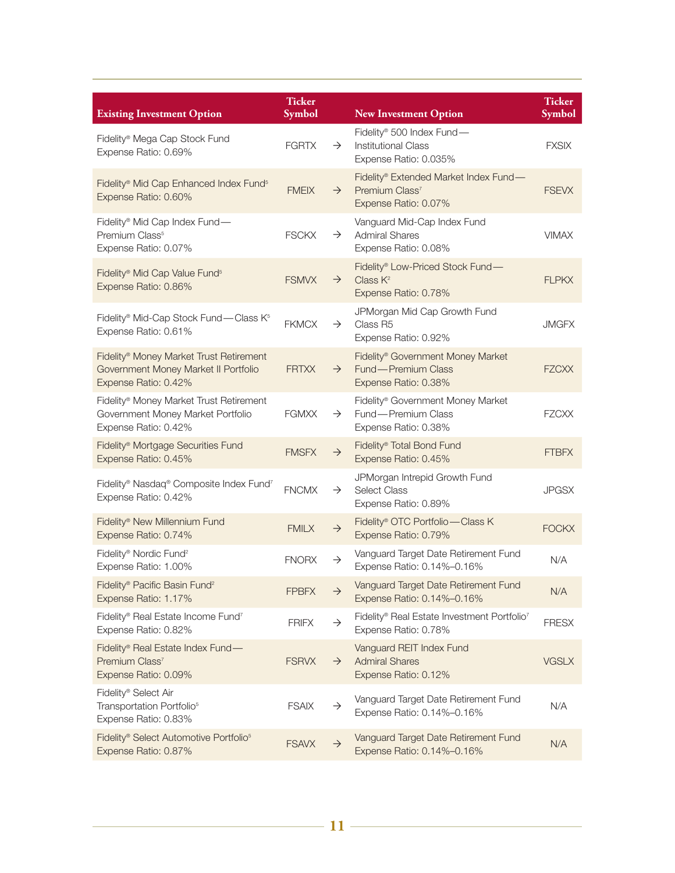| <b>Existing Investment Option</b>                                                                                   | <b>Ticker</b><br><b>Symbol</b> |               | <b>New Investment Option</b>                                                                  | <b>Ticker</b><br>Symbol |
|---------------------------------------------------------------------------------------------------------------------|--------------------------------|---------------|-----------------------------------------------------------------------------------------------|-------------------------|
| Fidelity® Mega Cap Stock Fund<br>Expense Ratio: 0.69%                                                               | <b>FGRTX</b>                   | $\rightarrow$ | Fidelity® 500 Index Fund-<br><b>Institutional Class</b><br>Expense Ratio: 0.035%              | <b>FXSIX</b>            |
| Fidelity® Mid Cap Enhanced Index Fund <sup>5</sup><br>Expense Ratio: 0.60%                                          | <b>FMEIX</b>                   | $\rightarrow$ | Fidelity® Extended Market Index Fund-<br>Premium Class <sup>7</sup><br>Expense Ratio: 0.07%   | <b>FSEVX</b>            |
| Fidelity <sup>®</sup> Mid Cap Index Fund-<br>Premium Class <sup>5</sup><br>Expense Ratio: 0.07%                     | <b>FSCKX</b>                   | $\rightarrow$ | Vanguard Mid-Cap Index Fund<br><b>Admiral Shares</b><br>Expense Ratio: 0.08%                  | <b>VIMAX</b>            |
| Fidelity® Mid Cap Value Fund <sup>5</sup><br>Expense Ratio: 0.86%                                                   | <b>FSMVX</b>                   | $\rightarrow$ | Fidelity® Low-Priced Stock Fund-<br>Class K <sup>2</sup><br>Expense Ratio: 0.78%              | <b>FLPKX</b>            |
| Fidelity® Mid-Cap Stock Fund—Class K <sup>5</sup><br>Expense Ratio: 0.61%                                           | <b>FKMCX</b>                   | $\rightarrow$ | JPMorgan Mid Cap Growth Fund<br>Class R5<br>Expense Ratio: 0.92%                              | <b>JMGFX</b>            |
| Fidelity <sup>®</sup> Money Market Trust Retirement<br>Government Money Market II Portfolio<br>Expense Ratio: 0.42% | <b>FRTXX</b>                   | $\rightarrow$ | Fidelity <sup>®</sup> Government Money Market<br>Fund - Premium Class<br>Expense Ratio: 0.38% | <b>FZCXX</b>            |
| Fidelity® Money Market Trust Retirement<br>Government Money Market Portfolio<br>Expense Ratio: 0.42%                | <b>FGMXX</b>                   | $\rightarrow$ | Fidelity® Government Money Market<br>Fund - Premium Class<br>Expense Ratio: 0.38%             | <b>FZCXX</b>            |
| Fidelity <sup>®</sup> Mortgage Securities Fund<br>Expense Ratio: 0.45%                                              | <b>FMSFX</b>                   | $\rightarrow$ | Fidelity® Total Bond Fund<br>Expense Ratio: 0.45%                                             | <b>FTBFX</b>            |
| Fidelity® Nasdaq® Composite Index Fund7<br>Expense Ratio: 0.42%                                                     | <b>FNCMX</b>                   | $\rightarrow$ | JPMorgan Intrepid Growth Fund<br><b>Select Class</b><br>Expense Ratio: 0.89%                  | <b>JPGSX</b>            |
| Fidelity® New Millennium Fund<br>Expense Ratio: 0.74%                                                               | <b>FMILX</b>                   | $\rightarrow$ | Fidelity® OTC Portfolio-Class K<br>Expense Ratio: 0.79%                                       | <b>FOCKX</b>            |
| Fidelity® Nordic Fund <sup>2</sup><br>Expense Ratio: 1.00%                                                          | <b>FNORX</b>                   | $\rightarrow$ | Vanguard Target Date Retirement Fund<br>Expense Ratio: 0.14%-0.16%                            | N/A                     |
| Fidelity® Pacific Basin Fund <sup>2</sup><br>Expense Ratio: 1.17%                                                   | <b>FPBFX</b>                   | $\rightarrow$ | Vanguard Target Date Retirement Fund<br>Expense Ratio: 0.14%-0.16%                            | N/A                     |
| Fidelity® Real Estate Income Fund <sup>7</sup><br>Expense Ratio: 0.82%                                              | <b>FRIFX</b>                   | $\rightarrow$ | Fidelity® Real Estate Investment Portfolio <sup>7</sup><br>Expense Ratio: 0.78%               | <b>FRESX</b>            |
| Fidelity® Real Estate Index Fund-<br>Premium Class <sup>7</sup><br>Expense Ratio: 0.09%                             | <b>FSRVX</b>                   | $\rightarrow$ | Vanguard REIT Index Fund<br><b>Admiral Shares</b><br>Expense Ratio: 0.12%                     | <b>VGSLX</b>            |
| Fidelity® Select Air<br>Transportation Portfolio <sup>5</sup><br>Expense Ratio: 0.83%                               | <b>FSAIX</b>                   | $\rightarrow$ | Vanguard Target Date Retirement Fund<br>Expense Ratio: 0.14%-0.16%                            | N/A                     |
| Fidelity® Select Automotive Portfolio <sup>5</sup><br>Expense Ratio: 0.87%                                          | <b>FSAVX</b>                   | $\rightarrow$ | Vanguard Target Date Retirement Fund<br>Expense Ratio: 0.14%-0.16%                            | N/A                     |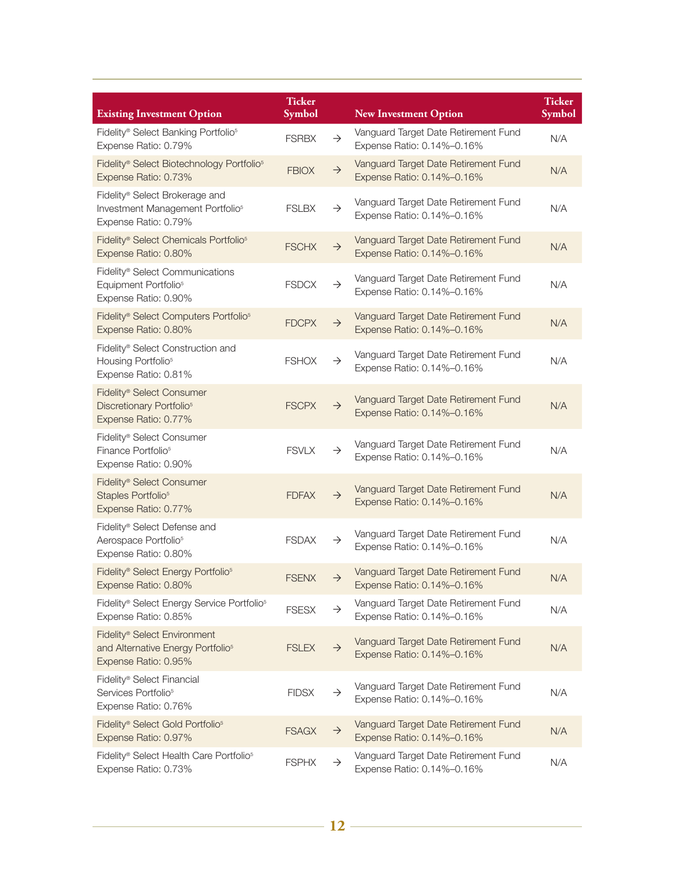| <b>Existing Investment Option</b>                                                                                 | <b>Ticker</b><br>Symbol |               | <b>New Investment Option</b>                                       | <b>Ticker</b><br>Symbol |
|-------------------------------------------------------------------------------------------------------------------|-------------------------|---------------|--------------------------------------------------------------------|-------------------------|
| Fidelity® Select Banking Portfolio <sup>5</sup><br>Expense Ratio: 0.79%                                           | <b>FSRBX</b>            | $\rightarrow$ | Vanguard Target Date Retirement Fund<br>Expense Ratio: 0.14%-0.16% | N/A                     |
| Fidelity® Select Biotechnology Portfolio <sup>5</sup><br>Expense Ratio: 0.73%                                     | <b>FBIOX</b>            | $\rightarrow$ | Vanguard Target Date Retirement Fund<br>Expense Ratio: 0.14%-0.16% | N/A                     |
| Fidelity® Select Brokerage and<br>Investment Management Portfolio <sup>5</sup><br>Expense Ratio: 0.79%            | <b>FSLBX</b>            | $\rightarrow$ | Vanguard Target Date Retirement Fund<br>Expense Ratio: 0.14%-0.16% | N/A                     |
| Fidelity® Select Chemicals Portfolio <sup>5</sup><br>Expense Ratio: 0.80%                                         | <b>FSCHX</b>            | $\rightarrow$ | Vanguard Target Date Retirement Fund<br>Expense Ratio: 0.14%-0.16% | N/A                     |
| Fidelity® Select Communications<br>Equipment Portfolio <sup>5</sup><br>Expense Ratio: 0.90%                       | <b>FSDCX</b>            | $\rightarrow$ | Vanguard Target Date Retirement Fund<br>Expense Ratio: 0.14%-0.16% | N/A                     |
| Fidelity® Select Computers Portfolio <sup>5</sup><br>Expense Ratio: 0.80%                                         | <b>FDCPX</b>            | $\rightarrow$ | Vanguard Target Date Retirement Fund<br>Expense Ratio: 0.14%-0.16% | N/A                     |
| Fidelity® Select Construction and<br>Housing Portfolio <sup>5</sup><br>Expense Ratio: 0.81%                       | <b>FSHOX</b>            | $\rightarrow$ | Vanguard Target Date Retirement Fund<br>Expense Ratio: 0.14%-0.16% | N/A                     |
| Fidelity <sup>®</sup> Select Consumer<br>Discretionary Portfolio <sup>5</sup><br>Expense Ratio: 0.77%             | <b>FSCPX</b>            | $\rightarrow$ | Vanguard Target Date Retirement Fund<br>Expense Ratio: 0.14%-0.16% | N/A                     |
| Fidelity® Select Consumer<br>Finance Portfolio <sup>5</sup><br>Expense Ratio: 0.90%                               | <b>FSVLX</b>            | $\rightarrow$ | Vanguard Target Date Retirement Fund<br>Expense Ratio: 0.14%-0.16% | N/A                     |
| Fidelity® Select Consumer<br>Staples Portfolio <sup>5</sup><br>Expense Ratio: 0.77%                               | <b>FDFAX</b>            | $\rightarrow$ | Vanguard Target Date Retirement Fund<br>Expense Ratio: 0.14%-0.16% | N/A                     |
| Fidelity® Select Defense and<br>Aerospace Portfolio <sup>5</sup><br>Expense Ratio: 0.80%                          | <b>FSDAX</b>            | $\rightarrow$ | Vanguard Target Date Retirement Fund<br>Expense Ratio: 0.14%-0.16% | N/A                     |
| Fidelity® Select Energy Portfolio <sup>5</sup><br>Expense Ratio: 0.80%                                            | <b>FSENX</b>            | $\rightarrow$ | Vanguard Target Date Retirement Fund<br>Expense Ratio: 0.14%-0.16% | N/A                     |
| Fidelity® Select Energy Service Portfolio <sup>5</sup><br>Expense Ratio: 0.85%                                    | <b>FSESX</b>            | $\rightarrow$ | Vanguard Target Date Retirement Fund<br>Expense Ratio: 0.14%-0.16% | N/A                     |
| Fidelity <sup>®</sup> Select Environment<br>and Alternative Energy Portfolio <sup>5</sup><br>Expense Ratio: 0.95% | <b>FSLEX</b>            | $\rightarrow$ | Vanguard Target Date Retirement Fund<br>Expense Ratio: 0.14%-0.16% | N/A                     |
| Fidelity® Select Financial<br>Services Portfolio <sup>5</sup><br>Expense Ratio: 0.76%                             | <b>FIDSX</b>            | $\rightarrow$ | Vanguard Target Date Retirement Fund<br>Expense Ratio: 0.14%-0.16% | N/A                     |
| Fidelity® Select Gold Portfolio <sup>5</sup><br>Expense Ratio: 0.97%                                              | <b>FSAGX</b>            | $\rightarrow$ | Vanguard Target Date Retirement Fund<br>Expense Ratio: 0.14%-0.16% | N/A                     |
| Fidelity® Select Health Care Portfolio <sup>5</sup><br>Expense Ratio: 0.73%                                       | <b>FSPHX</b>            | $\rightarrow$ | Vanguard Target Date Retirement Fund<br>Expense Ratio: 0.14%-0.16% | N/A                     |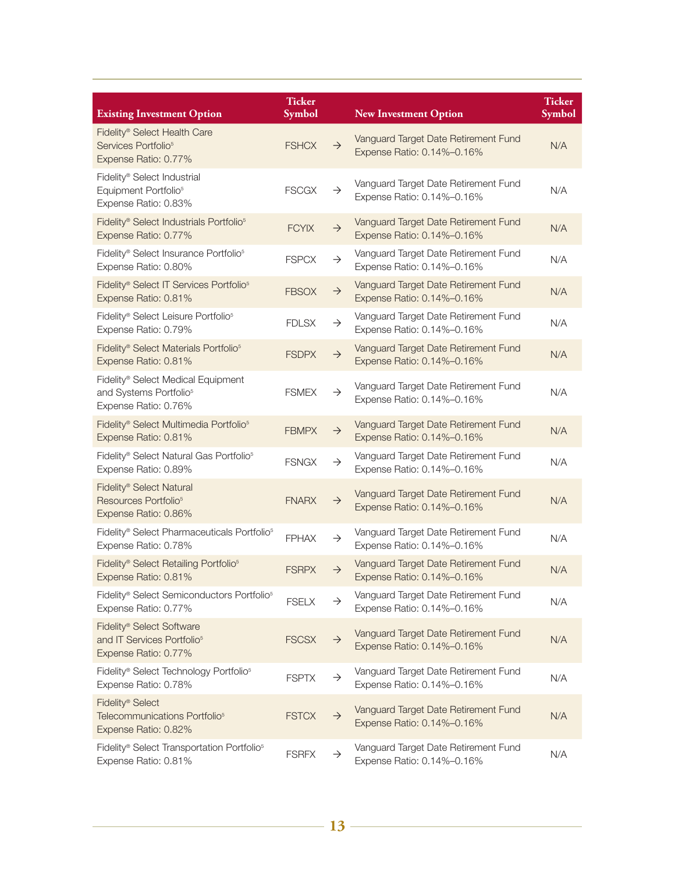| <b>Existing Investment Option</b>                                                                   | <b>Ticker</b><br><b>Symbol</b> |               | <b>New Investment Option</b>                                       | <b>Ticker</b><br><b>Symbol</b> |
|-----------------------------------------------------------------------------------------------------|--------------------------------|---------------|--------------------------------------------------------------------|--------------------------------|
| Fidelity® Select Health Care<br>Services Portfolio <sup>5</sup><br>Expense Ratio: 0.77%             | <b>FSHCX</b>                   | $\rightarrow$ | Vanguard Target Date Retirement Fund<br>Expense Ratio: 0.14%-0.16% | N/A                            |
| Fidelity <sup>®</sup> Select Industrial<br>Equipment Portfolio <sup>5</sup><br>Expense Ratio: 0.83% | <b>FSCGX</b>                   | $\rightarrow$ | Vanguard Target Date Retirement Fund<br>Expense Ratio: 0.14%-0.16% | N/A                            |
| Fidelity® Select Industrials Portfolio <sup>5</sup><br>Expense Ratio: 0.77%                         | <b>FCYIX</b>                   | $\rightarrow$ | Vanguard Target Date Retirement Fund<br>Expense Ratio: 0.14%-0.16% | N/A                            |
| Fidelity® Select Insurance Portfolio <sup>5</sup><br>Expense Ratio: 0.80%                           | <b>FSPCX</b>                   | $\rightarrow$ | Vanguard Target Date Retirement Fund<br>Expense Ratio: 0.14%-0.16% | N/A                            |
| Fidelity® Select IT Services Portfolio <sup>5</sup><br>Expense Ratio: 0.81%                         | <b>FBSOX</b>                   | $\rightarrow$ | Vanguard Target Date Retirement Fund<br>Expense Ratio: 0.14%-0.16% | N/A                            |
| Fidelity® Select Leisure Portfolio <sup>5</sup><br>Expense Ratio: 0.79%                             | <b>FDLSX</b>                   | $\rightarrow$ | Vanguard Target Date Retirement Fund<br>Expense Ratio: 0.14%-0.16% | N/A                            |
| Fidelity® Select Materials Portfolio <sup>5</sup><br>Expense Ratio: 0.81%                           | <b>FSDPX</b>                   | $\rightarrow$ | Vanguard Target Date Retirement Fund<br>Expense Ratio: 0.14%-0.16% | N/A                            |
| Fidelity® Select Medical Equipment<br>and Systems Portfolio <sup>5</sup><br>Expense Ratio: 0.76%    | <b>FSMEX</b>                   | $\rightarrow$ | Vanguard Target Date Retirement Fund<br>Expense Ratio: 0.14%-0.16% | N/A                            |
| Fidelity® Select Multimedia Portfolio <sup>5</sup><br>Expense Ratio: 0.81%                          | <b>FBMPX</b>                   | $\rightarrow$ | Vanguard Target Date Retirement Fund<br>Expense Ratio: 0.14%-0.16% | N/A                            |
| Fidelity® Select Natural Gas Portfolio <sup>5</sup><br>Expense Ratio: 0.89%                         | <b>FSNGX</b>                   | $\rightarrow$ | Vanguard Target Date Retirement Fund<br>Expense Ratio: 0.14%-0.16% | N/A                            |
| Fidelity® Select Natural<br>Resources Portfolio <sup>5</sup><br>Expense Ratio: 0.86%                | <b>FNARX</b>                   | $\rightarrow$ | Vanguard Target Date Retirement Fund<br>Expense Ratio: 0.14%-0.16% | N/A                            |
| Fidelity® Select Pharmaceuticals Portfolio <sup>5</sup><br>Expense Ratio: 0.78%                     | <b>FPHAX</b>                   | $\rightarrow$ | Vanguard Target Date Retirement Fund<br>Expense Ratio: 0.14%-0.16% | N/A                            |
| Fidelity® Select Retailing Portfolio <sup>5</sup><br>Expense Ratio: 0.81%                           | <b>FSRPX</b>                   | $\rightarrow$ | Vanguard Target Date Retirement Fund<br>Expense Ratio: 0.14%-0.16% | N/A                            |
| Fidelity® Select Semiconductors Portfolio <sup>5</sup><br>Expense Ratio: 0.77%                      | <b>FSELX</b>                   | $\rightarrow$ | Vanguard Target Date Retirement Fund<br>Expense Ratio: 0.14%-0.16% | N/A                            |
| Fidelity® Select Software<br>and IT Services Portfolio <sup>5</sup><br>Expense Ratio: 0.77%         | <b>FSCSX</b>                   | $\rightarrow$ | Vanguard Target Date Retirement Fund<br>Expense Ratio: 0.14%-0.16% | N/A                            |
| Fidelity® Select Technology Portfolio <sup>5</sup><br>Expense Ratio: 0.78%                          | <b>FSPTX</b>                   | $\rightarrow$ | Vanguard Target Date Retirement Fund<br>Expense Ratio: 0.14%-0.16% | N/A                            |
| Fidelity® Select<br>Telecommunications Portfolio <sup>5</sup><br>Expense Ratio: 0.82%               | <b>FSTCX</b>                   | $\rightarrow$ | Vanguard Target Date Retirement Fund<br>Expense Ratio: 0.14%-0.16% | N/A                            |
| Fidelity® Select Transportation Portfolio <sup>5</sup><br>Expense Ratio: 0.81%                      | <b>FSRFX</b>                   | $\rightarrow$ | Vanguard Target Date Retirement Fund<br>Expense Ratio: 0.14%-0.16% | N/A                            |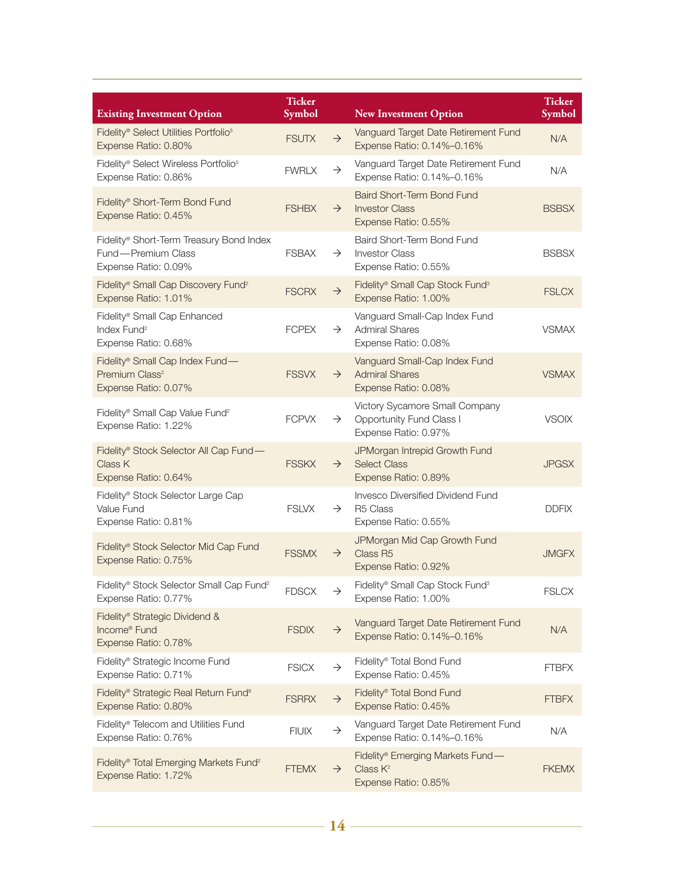| <b>Existing Investment Option</b>                                                              | <b>Ticker</b><br>Symbol |               | <b>New Investment Option</b>                                                              | <b>Ticker</b><br>Symbol |
|------------------------------------------------------------------------------------------------|-------------------------|---------------|-------------------------------------------------------------------------------------------|-------------------------|
| Fidelity® Select Utilities Portfolio <sup>5</sup><br>Expense Ratio: 0.80%                      | <b>FSUTX</b>            | $\rightarrow$ | Vanguard Target Date Retirement Fund<br>Expense Ratio: 0.14%-0.16%                        | N/A                     |
| Fidelity® Select Wireless Portfolio <sup>5</sup><br>Expense Ratio: 0.86%                       | <b>FWRLX</b>            | $\rightarrow$ | Vanguard Target Date Retirement Fund<br>Expense Ratio: 0.14%-0.16%                        | N/A                     |
| Fidelity® Short-Term Bond Fund<br>Expense Ratio: 0.45%                                         | <b>FSHBX</b>            | $\rightarrow$ | <b>Baird Short-Term Bond Fund</b><br><b>Investor Class</b><br>Expense Ratio: 0.55%        | <b>BSBSX</b>            |
| Fidelity® Short-Term Treasury Bond Index<br>Fund - Premium Class<br>Expense Ratio: 0.09%       | <b>FSBAX</b>            | $\rightarrow$ | Baird Short-Term Bond Fund<br><b>Investor Class</b><br>Expense Ratio: 0.55%               | <b>BSBSX</b>            |
| Fidelity® Small Cap Discovery Fund <sup>2</sup><br>Expense Ratio: 1.01%                        | <b>FSCRX</b>            | $\rightarrow$ | Fidelity® Small Cap Stock Fund <sup>3</sup><br>Expense Ratio: 1.00%                       | <b>FSLCX</b>            |
| Fidelity® Small Cap Enhanced<br>Index Fund <sup>2</sup><br>Expense Ratio: 0.68%                | <b>FCPEX</b>            | $\rightarrow$ | Vanguard Small-Cap Index Fund<br><b>Admiral Shares</b><br>Expense Ratio: 0.08%            | <b>VSMAX</b>            |
| Fidelity® Small Cap Index Fund-<br>Premium Class <sup>2</sup><br>Expense Ratio: 0.07%          | <b>FSSVX</b>            | $\rightarrow$ | Vanguard Small-Cap Index Fund<br><b>Admiral Shares</b><br>Expense Ratio: 0.08%            | <b>VSMAX</b>            |
| Fidelity® Small Cap Value Fund <sup>2</sup><br>Expense Ratio: 1.22%                            | <b>FCPVX</b>            | $\rightarrow$ | Victory Sycamore Small Company<br><b>Opportunity Fund Class I</b><br>Expense Ratio: 0.97% | <b>VSOIX</b>            |
| Fidelity® Stock Selector All Cap Fund-<br>Class K<br>Expense Ratio: 0.64%                      | <b>FSSKX</b>            | $\rightarrow$ | JPMorgan Intrepid Growth Fund<br><b>Select Class</b><br>Expense Ratio: 0.89%              | <b>JPGSX</b>            |
| Fidelity® Stock Selector Large Cap<br>Value Fund<br>Expense Ratio: 0.81%                       | <b>FSLVX</b>            | $\rightarrow$ | Invesco Diversified Dividend Fund<br>R <sub>5</sub> Class<br>Expense Ratio: 0.55%         | <b>DDFIX</b>            |
| Fidelity® Stock Selector Mid Cap Fund<br>Expense Ratio: 0.75%                                  | <b>FSSMX</b>            | $\rightarrow$ | JPMorgan Mid Cap Growth Fund<br>Class R5<br>Expense Ratio: 0.92%                          | <b>JMGFX</b>            |
| Fidelity® Stock Selector Small Cap Fund <sup>2</sup><br>Expense Ratio: 0.77%                   | <b>FDSCX</b>            | $\rightarrow$ | Fidelity® Small Cap Stock Fund <sup>3</sup><br>Expense Ratio: 1.00%                       | <b>FSLCX</b>            |
| Fidelity <sup>®</sup> Strategic Dividend &<br>Income <sup>®</sup> Fund<br>Expense Ratio: 0.78% | <b>FSDIX</b>            | $\rightarrow$ | Vanguard Target Date Retirement Fund<br>Expense Ratio: 0.14%-0.16%                        | N/A                     |
| Fidelity <sup>®</sup> Strategic Income Fund<br>Expense Ratio: 0.71%                            | <b>FSICX</b>            | $\rightarrow$ | Fidelity® Total Bond Fund<br>Expense Ratio: 0.45%                                         | <b>FTBFX</b>            |
| Fidelity <sup>®</sup> Strategic Real Return Fund <sup>8</sup><br>Expense Ratio: 0.80%          | <b>FSRRX</b>            | $\rightarrow$ | Fidelity <sup>®</sup> Total Bond Fund<br>Expense Ratio: 0.45%                             | <b>FTBFX</b>            |
| Fidelity® Telecom and Utilities Fund<br>Expense Ratio: 0.76%                                   | <b>FIUIX</b>            | $\rightarrow$ | Vanguard Target Date Retirement Fund<br>Expense Ratio: 0.14%-0.16%                        | N/A                     |
| Fidelity® Total Emerging Markets Fund <sup>2</sup><br>Expense Ratio: 1.72%                     | <b>FTEMX</b>            | $\rightarrow$ | Fidelity® Emerging Markets Fund-<br>Class $K^2$<br>Expense Ratio: 0.85%                   | <b>FKEMX</b>            |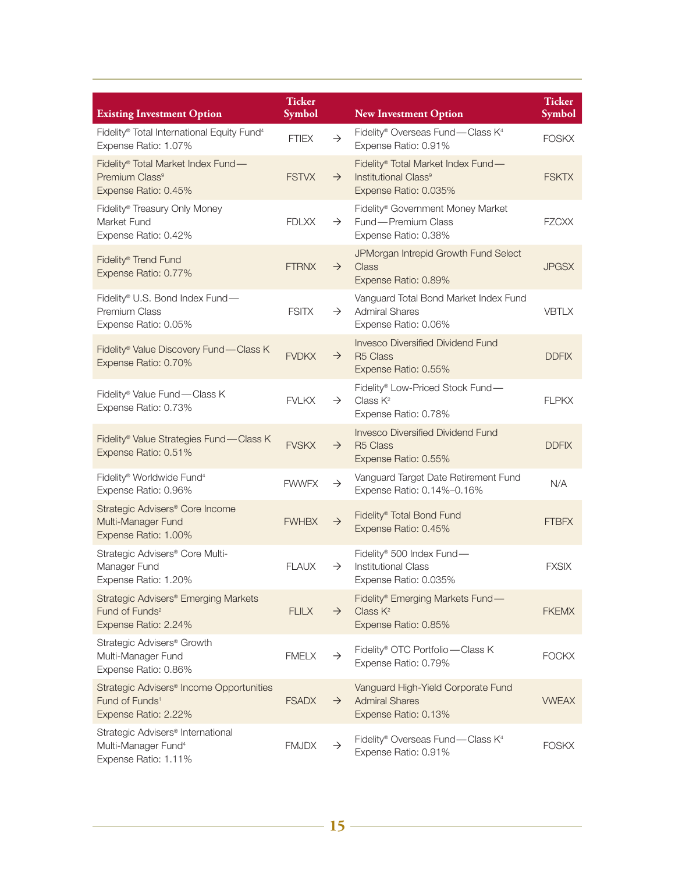| <b>Existing Investment Option</b>                                                                          | <b>Ticker</b><br><b>Symbol</b> |               | <b>New Investment Option</b>                                                                    | <b>Ticker</b><br>Symbol |
|------------------------------------------------------------------------------------------------------------|--------------------------------|---------------|-------------------------------------------------------------------------------------------------|-------------------------|
| Fidelity® Total International Equity Fund <sup>4</sup><br>Expense Ratio: 1.07%                             | <b>FTIEX</b>                   | $\rightarrow$ | Fidelity® Overseas Fund—Class K <sup>4</sup><br>Expense Ratio: 0.91%                            | <b>FOSKX</b>            |
| Fidelity® Total Market Index Fund-<br>Premium Class <sup>9</sup><br>Expense Ratio: 0.45%                   | <b>FSTVX</b>                   | $\rightarrow$ | Fidelity® Total Market Index Fund-<br>Institutional Class <sup>9</sup><br>Expense Ratio: 0.035% | <b>FSKTX</b>            |
| Fidelity® Treasury Only Money<br>Market Fund<br>Expense Ratio: 0.42%                                       | <b>FDLXX</b>                   | $\rightarrow$ | Fidelity <sup>®</sup> Government Money Market<br>Fund - Premium Class<br>Expense Ratio: 0.38%   | <b>FZCXX</b>            |
| Fidelity® Trend Fund<br>Expense Ratio: 0.77%                                                               | <b>FTRNX</b>                   | $\rightarrow$ | JPMorgan Intrepid Growth Fund Select<br><b>Class</b><br>Expense Ratio: 0.89%                    | <b>JPGSX</b>            |
| Fidelity® U.S. Bond Index Fund-<br>Premium Class<br>Expense Ratio: 0.05%                                   | <b>FSITX</b>                   | $\rightarrow$ | Vanguard Total Bond Market Index Fund<br><b>Admiral Shares</b><br>Expense Ratio: 0.06%          | <b>VBTLX</b>            |
| Fidelity® Value Discovery Fund—Class K<br>Expense Ratio: 0.70%                                             | <b>FVDKX</b>                   | $\rightarrow$ | <b>Invesco Diversified Dividend Fund</b><br>R <sub>5</sub> Class<br>Expense Ratio: 0.55%        | <b>DDFIX</b>            |
| Fidelity® Value Fund - Class K<br>Expense Ratio: 0.73%                                                     | <b>FVLKX</b>                   | $\rightarrow$ | Fidelity® Low-Priced Stock Fund-<br>Class $K^2$<br>Expense Ratio: 0.78%                         | <b>FLPKX</b>            |
| Fidelity® Value Strategies Fund-Class K<br>Expense Ratio: 0.51%                                            | <b>FVSKX</b>                   | $\rightarrow$ | <b>Invesco Diversified Dividend Fund</b><br>R <sub>5</sub> Class<br>Expense Ratio: 0.55%        | <b>DDFIX</b>            |
| Fidelity® Worldwide Fund <sup>4</sup><br>Expense Ratio: 0.96%                                              | <b>FWWFX</b>                   | $\rightarrow$ | Vanguard Target Date Retirement Fund<br>Expense Ratio: 0.14%-0.16%                              | N/A                     |
| Strategic Advisers® Core Income<br>Multi-Manager Fund<br>Expense Ratio: 1.00%                              | <b>FWHBX</b>                   | $\rightarrow$ | Fidelity® Total Bond Fund<br>Expense Ratio: 0.45%                                               | <b>FTBFX</b>            |
| Strategic Advisers® Core Multi-<br>Manager Fund<br>Expense Ratio: 1.20%                                    | <b>FLAUX</b>                   | $\rightarrow$ | Fidelity® 500 Index Fund-<br><b>Institutional Class</b><br>Expense Ratio: 0.035%                | <b>FXSIX</b>            |
| Strategic Advisers® Emerging Markets<br>Fund of Funds <sup>2</sup><br>Expense Ratio: 2.24%                 | <b>FLILX</b>                   | $\rightarrow$ | Fidelity® Emerging Markets Fund-<br>Class $K^2$<br>Expense Ratio: 0.85%                         | <b>FKEMX</b>            |
| Strategic Advisers <sup>®</sup> Growth<br>Multi-Manager Fund<br>Expense Ratio: 0.86%                       | <b>FMELX</b>                   | $\rightarrow$ | Fidelity® OTC Portfolio-Class K<br>Expense Ratio: 0.79%                                         | <b>FOCKX</b>            |
| Strategic Advisers <sup>®</sup> Income Opportunities<br>Fund of Funds <sup>1</sup><br>Expense Ratio: 2.22% | <b>FSADX</b>                   | $\rightarrow$ | Vanguard High-Yield Corporate Fund<br><b>Admiral Shares</b><br>Expense Ratio: 0.13%             | <b>VWEAX</b>            |
| Strategic Advisers <sup>®</sup> International<br>Multi-Manager Fund <sup>4</sup><br>Expense Ratio: 1.11%   | <b>FMJDX</b>                   | $\rightarrow$ | Fidelity® Overseas Fund—Class K <sup>4</sup><br>Expense Ratio: 0.91%                            | <b>FOSKX</b>            |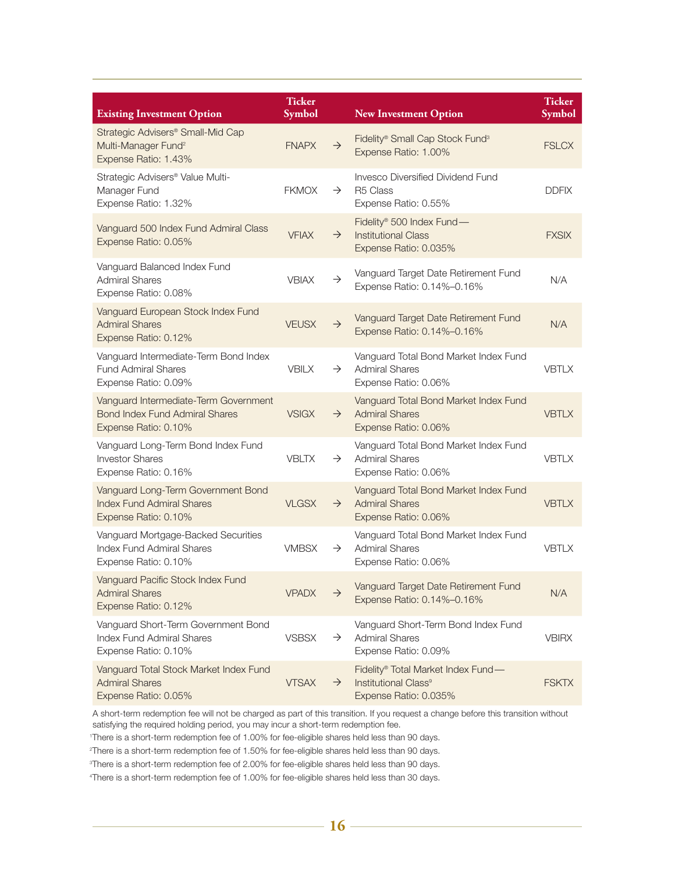| <b>Existing Investment Option</b>                                                                      | <b>Ticker</b><br><b>Symbol</b> |               | <b>New Investment Option</b>                                                                    | <b>Ticker</b><br><b>Symbol</b> |
|--------------------------------------------------------------------------------------------------------|--------------------------------|---------------|-------------------------------------------------------------------------------------------------|--------------------------------|
| Strategic Advisers® Small-Mid Cap<br>Multi-Manager Fund <sup>2</sup><br>Expense Ratio: 1.43%           | <b>FNAPX</b>                   | $\rightarrow$ | Fidelity® Small Cap Stock Fund <sup>3</sup><br>Expense Ratio: 1.00%                             | <b>FSLCX</b>                   |
| Strategic Advisers <sup>®</sup> Value Multi-<br>Manager Fund<br>Expense Ratio: 1.32%                   | <b>FKMOX</b>                   | $\rightarrow$ | Invesco Diversified Dividend Fund<br>R <sub>5</sub> Class<br>Expense Ratio: 0.55%               | <b>DDFIX</b>                   |
| Vanguard 500 Index Fund Admiral Class<br>Expense Ratio: 0.05%                                          | <b>VFIAX</b>                   | $\rightarrow$ | Fidelity® 500 Index Fund-<br><b>Institutional Class</b><br>Expense Ratio: 0.035%                | <b>FXSIX</b>                   |
| Vanguard Balanced Index Fund<br><b>Admiral Shares</b><br>Expense Ratio: 0.08%                          | <b>VBIAX</b>                   | $\rightarrow$ | Vanguard Target Date Retirement Fund<br>Expense Ratio: 0.14%-0.16%                              | N/A                            |
| Vanguard European Stock Index Fund<br><b>Admiral Shares</b><br>Expense Ratio: 0.12%                    | <b>VEUSX</b>                   | $\rightarrow$ | Vanguard Target Date Retirement Fund<br>Expense Ratio: 0.14%-0.16%                              | N/A                            |
| Vanguard Intermediate-Term Bond Index<br><b>Fund Admiral Shares</b><br>Expense Ratio: 0.09%            | <b>VBILX</b>                   | $\rightarrow$ | Vanguard Total Bond Market Index Fund<br><b>Admiral Shares</b><br>Expense Ratio: 0.06%          | <b>VBTLX</b>                   |
| Vanguard Intermediate-Term Government<br><b>Bond Index Fund Admiral Shares</b><br>Expense Ratio: 0.10% | <b>VSIGX</b>                   | $\rightarrow$ | Vanguard Total Bond Market Index Fund<br><b>Admiral Shares</b><br>Expense Ratio: 0.06%          | <b>VBTLX</b>                   |
| Vanguard Long-Term Bond Index Fund<br><b>Investor Shares</b><br>Expense Ratio: 0.16%                   | <b>VBLTX</b>                   | $\rightarrow$ | Vanguard Total Bond Market Index Fund<br><b>Admiral Shares</b><br>Expense Ratio: 0.06%          | <b>VBTLX</b>                   |
| Vanguard Long-Term Government Bond<br><b>Index Fund Admiral Shares</b><br>Expense Ratio: 0.10%         | <b>VLGSX</b>                   | $\rightarrow$ | Vanguard Total Bond Market Index Fund<br><b>Admiral Shares</b><br>Expense Ratio: 0.06%          | <b>VBTLX</b>                   |
| Vanguard Mortgage-Backed Securities<br><b>Index Fund Admiral Shares</b><br>Expense Ratio: 0.10%        | <b>VMBSX</b>                   | $\rightarrow$ | Vanguard Total Bond Market Index Fund<br><b>Admiral Shares</b><br>Expense Ratio: 0.06%          | <b>VBTLX</b>                   |
| Vanguard Pacific Stock Index Fund<br><b>Admiral Shares</b><br>Expense Ratio: 0.12%                     | <b>VPADX</b>                   | $\rightarrow$ | Vanguard Target Date Retirement Fund<br>Expense Ratio: 0.14%-0.16%                              | N/A                            |
| Vanguard Short-Term Government Bond<br><b>Index Fund Admiral Shares</b><br>Expense Ratio: 0.10%        | <b>VSBSX</b>                   | $\rightarrow$ | Vanguard Short-Term Bond Index Fund<br><b>Admiral Shares</b><br>Expense Ratio: 0.09%            | <b>VBIRX</b>                   |
| Vanguard Total Stock Market Index Fund<br><b>Admiral Shares</b><br>Expense Ratio: 0.05%                | <b>VTSAX</b>                   | $\rightarrow$ | Fidelity® Total Market Index Fund-<br>Institutional Class <sup>9</sup><br>Expense Ratio: 0.035% | <b>FSKTX</b>                   |

A short-term redemption fee will not be charged as part of this transition. If you request a change before this transition without satisfying the required holding period, you may incur a short-term redemption fee.

1 There is a short-term redemption fee of 1.00% for fee-eligible shares held less than 90 days.

2 There is a short-term redemption fee of 1.50% for fee-eligible shares held less than 90 days.

3 There is a short-term redemption fee of 2.00% for fee-eligible shares held less than 90 days.

4 There is a short-term redemption fee of 1.00% for fee-eligible shares held less than 30 days.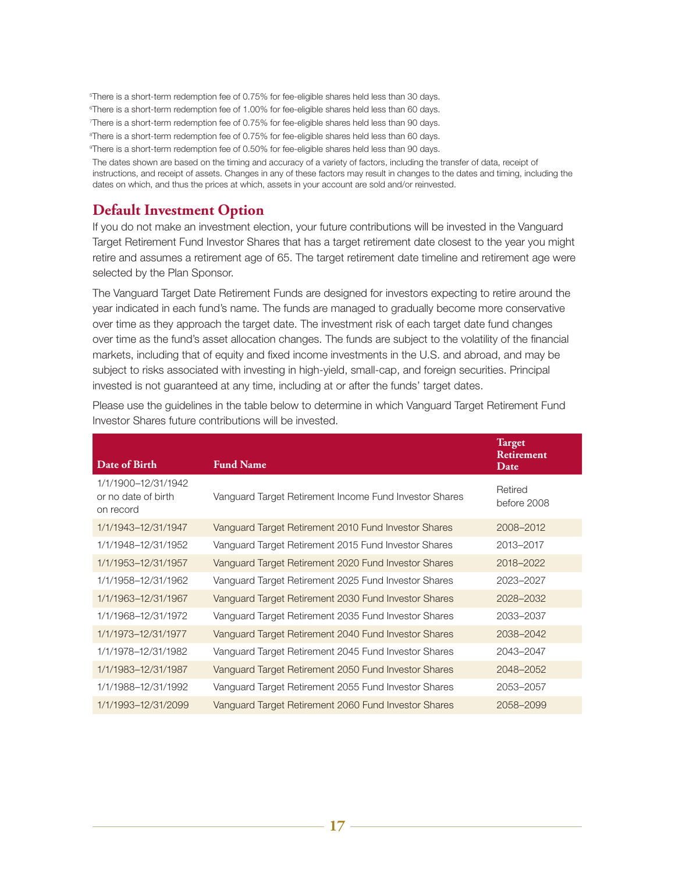5 There is a short-term redemption fee of 0.75% for fee-eligible shares held less than 30 days.

6 There is a short-term redemption fee of 1.00% for fee-eligible shares held less than 60 days.

7 There is a short-term redemption fee of 0.75% for fee-eligible shares held less than 90 days.

8 There is a short-term redemption fee of 0.75% for fee-eligible shares held less than 60 days.

9 There is a short-term redemption fee of 0.50% for fee-eligible shares held less than 90 days.

The dates shown are based on the timing and accuracy of a variety of factors, including the transfer of data, receipt of instructions, and receipt of assets. Changes in any of these factors may result in changes to the dates and timing, including the dates on which, and thus the prices at which, assets in your account are sold and/or reinvested.

## **Default Investment Option**

If you do not make an investment election, your future contributions will be invested in the Vanguard Target Retirement Fund Investor Shares that has a target retirement date closest to the year you might retire and assumes a retirement age of 65. The target retirement date timeline and retirement age were selected by the Plan Sponsor.

The Vanguard Target Date Retirement Funds are designed for investors expecting to retire around the year indicated in each fund's name. The funds are managed to gradually become more conservative over time as they approach the target date. The investment risk of each target date fund changes over time as the fund's asset allocation changes. The funds are subject to the volatility of the financial markets, including that of equity and fixed income investments in the U.S. and abroad, and may be subject to risks associated with investing in high-yield, small-cap, and foreign securities. Principal invested is not guaranteed at any time, including at or after the funds' target dates.

| Date of Birth                                           | <b>Fund Name</b>                                       | <b>Target</b><br><b>Retirement</b><br>Date |
|---------------------------------------------------------|--------------------------------------------------------|--------------------------------------------|
| 1/1/1900-12/31/1942<br>or no date of birth<br>on record | Vanguard Target Retirement Income Fund Investor Shares | Retired<br>before 2008                     |
| 1/1/1943-12/31/1947                                     | Vanguard Target Retirement 2010 Fund Investor Shares   | 2008-2012                                  |
| 1/1/1948-12/31/1952                                     | Vanguard Target Retirement 2015 Fund Investor Shares   | 2013-2017                                  |
| 1/1/1953-12/31/1957                                     | Vanguard Target Retirement 2020 Fund Investor Shares   | 2018-2022                                  |
| 1/1/1958-12/31/1962                                     | Vanguard Target Retirement 2025 Fund Investor Shares   | 2023-2027                                  |
| 1/1/1963-12/31/1967                                     | Vanguard Target Retirement 2030 Fund Investor Shares   | 2028-2032                                  |
| 1/1/1968-12/31/1972                                     | Vanguard Target Retirement 2035 Fund Investor Shares   | 2033-2037                                  |
| 1/1/1973-12/31/1977                                     | Vanguard Target Retirement 2040 Fund Investor Shares   | 2038-2042                                  |
| 1/1/1978-12/31/1982                                     | Vanguard Target Retirement 2045 Fund Investor Shares   | 2043-2047                                  |
| 1/1/1983-12/31/1987                                     | Vanguard Target Retirement 2050 Fund Investor Shares   | 2048-2052                                  |
| 1/1/1988-12/31/1992                                     | Vanguard Target Retirement 2055 Fund Investor Shares   | 2053-2057                                  |
| 1/1/1993-12/31/2099                                     | Vanguard Target Retirement 2060 Fund Investor Shares   | 2058-2099                                  |

Please use the guidelines in the table below to determine in which Vanguard Target Retirement Fund Investor Shares future contributions will be invested.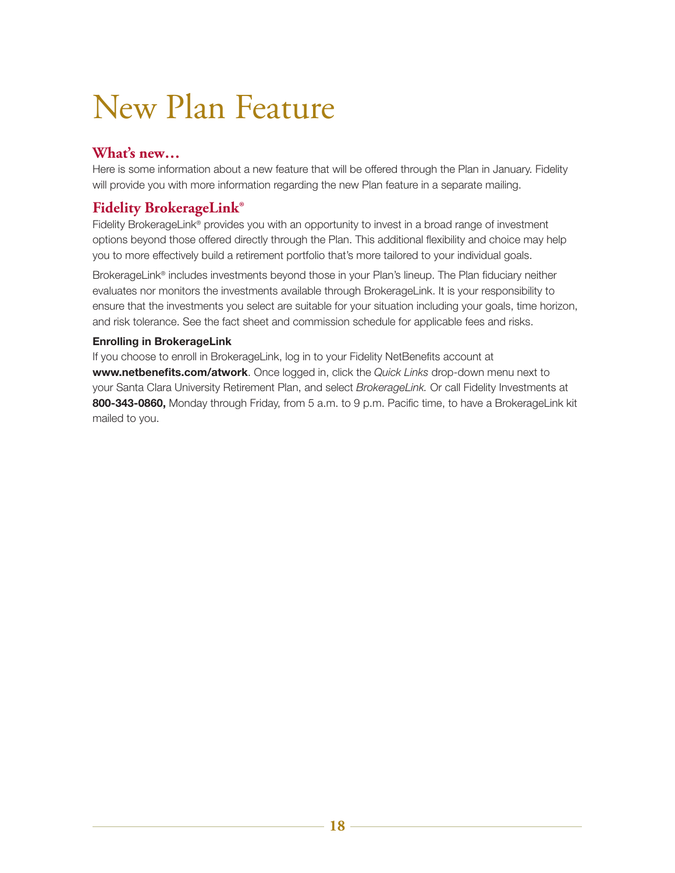## New Plan Feature

## **What's new…**

Here is some information about a new feature that will be offered through the Plan in January. Fidelity will provide you with more information regarding the new Plan feature in a separate mailing.

## **Fidelity BrokerageLink®**

Fidelity BrokerageLink<sup>®</sup> provides you with an opportunity to invest in a broad range of investment options beyond those offered directly through the Plan. This additional flexibility and choice may help you to more effectively build a retirement portfolio that's more tailored to your individual goals.

BrokerageLink® includes investments beyond those in your Plan's lineup. The Plan fiduciary neither evaluates nor monitors the investments available through BrokerageLink. It is your responsibility to ensure that the investments you select are suitable for your situation including your goals, time horizon, and risk tolerance. See the fact sheet and commission schedule for applicable fees and risks.

#### **Enrolling in BrokerageLink**

If you choose to enroll in BrokerageLink, log in to your Fidelity NetBenefits account at **www.netbenefits.com/atwork**. Once logged in, click the *Quick Links* drop-down menu next to your Santa Clara University Retirement Plan, and select *BrokerageLink.* Or call Fidelity Investments at **800-343-0860,** Monday through Friday, from 5 a.m. to 9 p.m. Pacific time, to have a BrokerageLink kit mailed to you.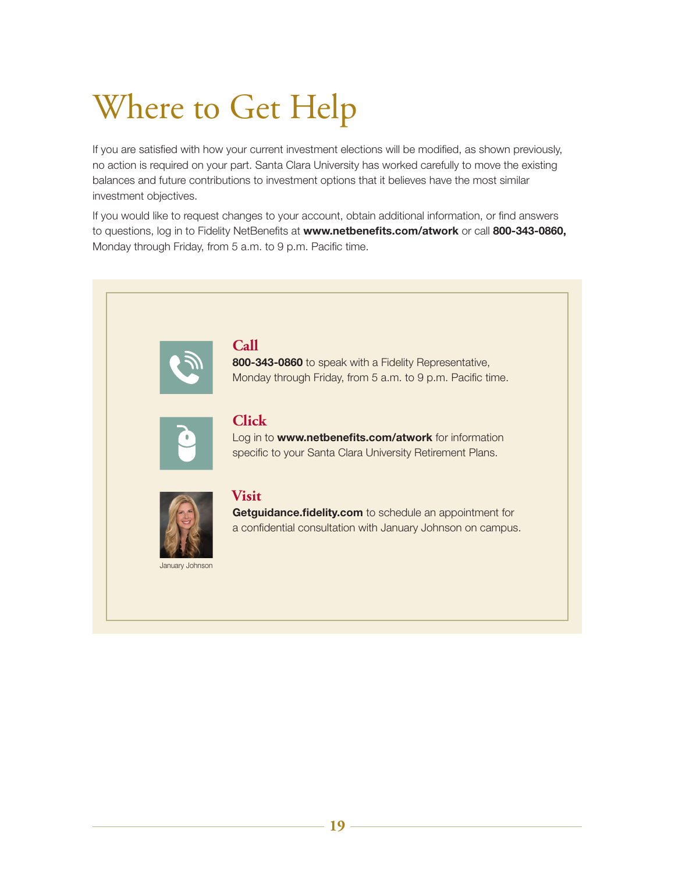# Where to Get Help

If you are satisfied with how your current investment elections will be modified, as shown previously, no action is required on your part. Santa Clara University has worked carefully to move the existing balances and future contributions to investment options that it believes have the most similar investment objectives.

If you would like to request changes to your account, obtain additional information, or find answers to questions, log in to Fidelity NetBenefits at **www.netbenefits.com/atwork** or call **800-343-0860,** Monday through Friday, from 5 a.m. to 9 p.m. Pacific time.

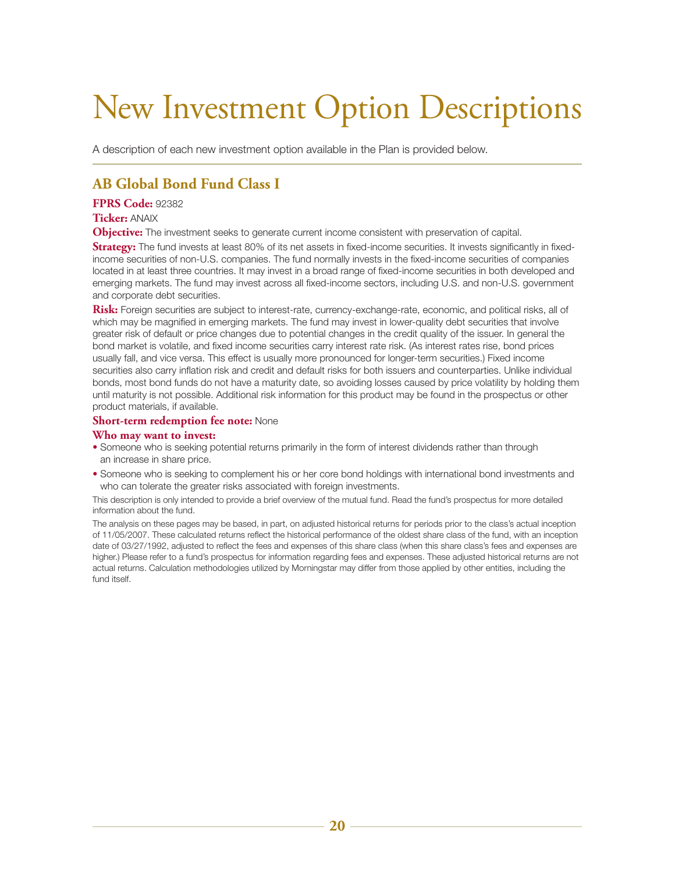## New Investment Option Descriptions

A description of each new investment option available in the Plan is provided below.

## **AB Global Bond Fund Class I**

#### **FPRS Code:** 92382

#### **Ticker:** ANAIX

**Objective:** The investment seeks to generate current income consistent with preservation of capital.

**Strategy:** The fund invests at least 80% of its net assets in fixed-income securities. It invests significantly in fixedincome securities of non-U.S. companies. The fund normally invests in the fixed-income securities of companies located in at least three countries. It may invest in a broad range of fixed-income securities in both developed and emerging markets. The fund may invest across all fixed-income sectors, including U.S. and non-U.S. government and corporate debt securities.

**Risk:** Foreign securities are subject to interest-rate, currency-exchange-rate, economic, and political risks, all of which may be magnified in emerging markets. The fund may invest in lower-quality debt securities that involve greater risk of default or price changes due to potential changes in the credit quality of the issuer. In general the bond market is volatile, and fixed income securities carry interest rate risk. (As interest rates rise, bond prices usually fall, and vice versa. This effect is usually more pronounced for longer-term securities.) Fixed income securities also carry inflation risk and credit and default risks for both issuers and counterparties. Unlike individual bonds, most bond funds do not have a maturity date, so avoiding losses caused by price volatility by holding them until maturity is not possible. Additional risk information for this product may be found in the prospectus or other product materials, if available.

#### **Short-term redemption fee note:** None

#### **Who may want to invest:**

- Someone who is seeking potential returns primarily in the form of interest dividends rather than through an increase in share price.
- Someone who is seeking to complement his or her core bond holdings with international bond investments and who can tolerate the greater risks associated with foreign investments.

This description is only intended to provide a brief overview of the mutual fund. Read the fund's prospectus for more detailed information about the fund.

The analysis on these pages may be based, in part, on adjusted historical returns for periods prior to the class's actual inception of 11/05/2007. These calculated returns reflect the historical performance of the oldest share class of the fund, with an inception date of 03/27/1992, adjusted to reflect the fees and expenses of this share class (when this share class's fees and expenses are higher.) Please refer to a fund's prospectus for information regarding fees and expenses. These adjusted historical returns are not actual returns. Calculation methodologies utilized by Morningstar may differ from those applied by other entities, including the fund itself.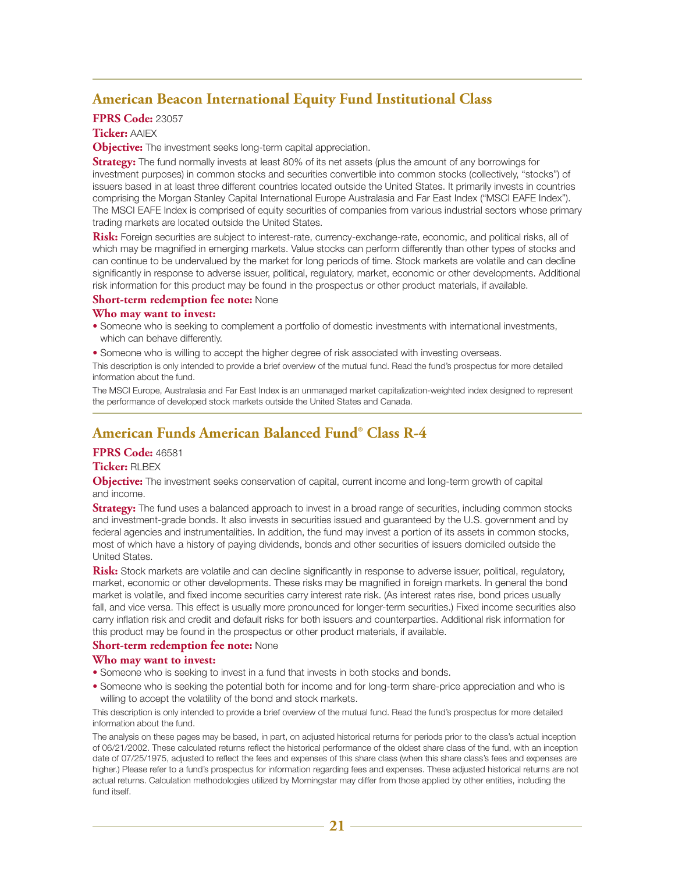## **American Beacon International Equity Fund Institutional Class**

#### **FPRS Code:** 23057

#### **Ticker:** AAIEX

**Objective:** The investment seeks long-term capital appreciation.

**Strategy:** The fund normally invests at least 80% of its net assets (plus the amount of any borrowings for investment purposes) in common stocks and securities convertible into common stocks (collectively, "stocks") of issuers based in at least three different countries located outside the United States. It primarily invests in countries comprising the Morgan Stanley Capital International Europe Australasia and Far East Index ("MSCI EAFE Index"). The MSCI EAFE Index is comprised of equity securities of companies from various industrial sectors whose primary trading markets are located outside the United States.

**Risk:** Foreign securities are subject to interest-rate, currency-exchange-rate, economic, and political risks, all of which may be magnified in emerging markets. Value stocks can perform differently than other types of stocks and can continue to be undervalued by the market for long periods of time. Stock markets are volatile and can decline significantly in response to adverse issuer, political, regulatory, market, economic or other developments. Additional risk information for this product may be found in the prospectus or other product materials, if available.

#### **Short-term redemption fee note:** None

#### **Who may want to invest:**

- Someone who is seeking to complement a portfolio of domestic investments with international investments, which can behave differently.
- Someone who is willing to accept the higher degree of risk associated with investing overseas.

This description is only intended to provide a brief overview of the mutual fund. Read the fund's prospectus for more detailed information about the fund.

The MSCI Europe, Australasia and Far East Index is an unmanaged market capitalization-weighted index designed to represent the performance of developed stock markets outside the United States and Canada.

## **American Funds American Balanced Fund® Class R-4**

#### **FPRS Code:** 46581

#### **Ticker:** RLBEX

**Objective:** The investment seeks conservation of capital, current income and long-term growth of capital and income.

**Strategy:** The fund uses a balanced approach to invest in a broad range of securities, including common stocks and investment-grade bonds. It also invests in securities issued and guaranteed by the U.S. government and by federal agencies and instrumentalities. In addition, the fund may invest a portion of its assets in common stocks, most of which have a history of paying dividends, bonds and other securities of issuers domiciled outside the United States.

**Risk:** Stock markets are volatile and can decline significantly in response to adverse issuer, political, regulatory, market, economic or other developments. These risks may be magnified in foreign markets. In general the bond market is volatile, and fixed income securities carry interest rate risk. (As interest rates rise, bond prices usually fall, and vice versa. This effect is usually more pronounced for longer-term securities.) Fixed income securities also carry inflation risk and credit and default risks for both issuers and counterparties. Additional risk information for this product may be found in the prospectus or other product materials, if available.

#### **Short-term redemption fee note:** None

#### **Who may want to invest:**

- Someone who is seeking to invest in a fund that invests in both stocks and bonds.
- Someone who is seeking the potential both for income and for long-term share-price appreciation and who is willing to accept the volatility of the bond and stock markets.

This description is only intended to provide a brief overview of the mutual fund. Read the fund's prospectus for more detailed information about the fund.

The analysis on these pages may be based, in part, on adjusted historical returns for periods prior to the class's actual inception of 06/21/2002. These calculated returns reflect the historical performance of the oldest share class of the fund, with an inception date of 07/25/1975, adjusted to reflect the fees and expenses of this share class (when this share class's fees and expenses are higher.) Please refer to a fund's prospectus for information regarding fees and expenses. These adjusted historical returns are not actual returns. Calculation methodologies utilized by Morningstar may differ from those applied by other entities, including the fund itself.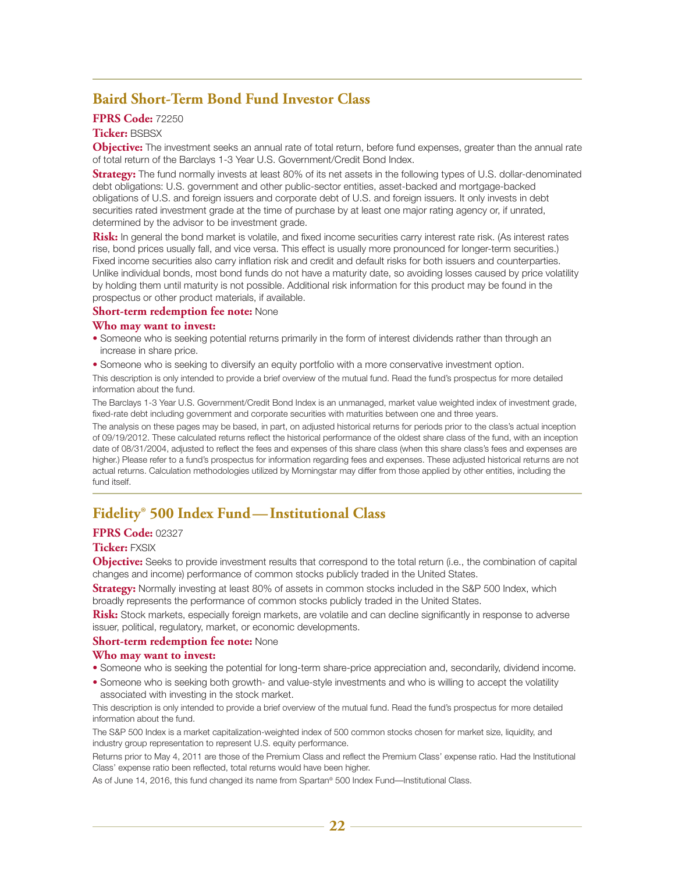### **Baird Short-Term Bond Fund Investor Class**

#### **FPRS Code:** 72250

#### **Ticker:** BSBSX

**Objective:** The investment seeks an annual rate of total return, before fund expenses, greater than the annual rate of total return of the Barclays 1-3 Year U.S. Government/Credit Bond Index.

**Strategy:** The fund normally invests at least 80% of its net assets in the following types of U.S. dollar-denominated debt obligations: U.S. government and other public-sector entities, asset-backed and mortgage-backed obligations of U.S. and foreign issuers and corporate debt of U.S. and foreign issuers. It only invests in debt securities rated investment grade at the time of purchase by at least one major rating agency or, if unrated, determined by the advisor to be investment grade.

**Risk:** In general the bond market is volatile, and fixed income securities carry interest rate risk. (As interest rates rise, bond prices usually fall, and vice versa. This effect is usually more pronounced for longer-term securities.) Fixed income securities also carry inflation risk and credit and default risks for both issuers and counterparties. Unlike individual bonds, most bond funds do not have a maturity date, so avoiding losses caused by price volatility by holding them until maturity is not possible. Additional risk information for this product may be found in the prospectus or other product materials, if available.

#### **Short-term redemption fee note:** None

#### **Who may want to invest:**

• Someone who is seeking potential returns primarily in the form of interest dividends rather than through an increase in share price.

• Someone who is seeking to diversify an equity portfolio with a more conservative investment option.

This description is only intended to provide a brief overview of the mutual fund. Read the fund's prospectus for more detailed information about the fund.

The Barclays 1-3 Year U.S. Government/Credit Bond Index is an unmanaged, market value weighted index of investment grade, fixed-rate debt including government and corporate securities with maturities between one and three years.

The analysis on these pages may be based, in part, on adjusted historical returns for periods prior to the class's actual inception of 09/19/2012. These calculated returns reflect the historical performance of the oldest share class of the fund, with an inception date of 08/31/2004, adjusted to reflect the fees and expenses of this share class (when this share class's fees and expenses are higher.) Please refer to a fund's prospectus for information regarding fees and expenses. These adjusted historical returns are not actual returns. Calculation methodologies utilized by Morningstar may differ from those applied by other entities, including the fund itself.

## **Fidelity® 500 Index Fund—Institutional Class**

#### **FPRS Code:** 02327

#### **Ticker:** FXSIX

**Objective:** Seeks to provide investment results that correspond to the total return (i.e., the combination of capital changes and income) performance of common stocks publicly traded in the United States.

**Strategy:** Normally investing at least 80% of assets in common stocks included in the S&P 500 Index, which broadly represents the performance of common stocks publicly traded in the United States.

**Risk:** Stock markets, especially foreign markets, are volatile and can decline significantly in response to adverse issuer, political, regulatory, market, or economic developments.

#### **Short-term redemption fee note:** None

#### **Who may want to invest:**

- Someone who is seeking the potential for long-term share-price appreciation and, secondarily, dividend income.
- Someone who is seeking both growth- and value-style investments and who is willing to accept the volatility associated with investing in the stock market.

This description is only intended to provide a brief overview of the mutual fund. Read the fund's prospectus for more detailed information about the fund.

The S&P 500 Index is a market capitalization-weighted index of 500 common stocks chosen for market size, liquidity, and industry group representation to represent U.S. equity performance.

Returns prior to May 4, 2011 are those of the Premium Class and reflect the Premium Class' expense ratio. Had the Institutional Class' expense ratio been reflected, total returns would have been higher.

As of June 14, 2016, this fund changed its name from Spartan® 500 Index Fund—Institutional Class.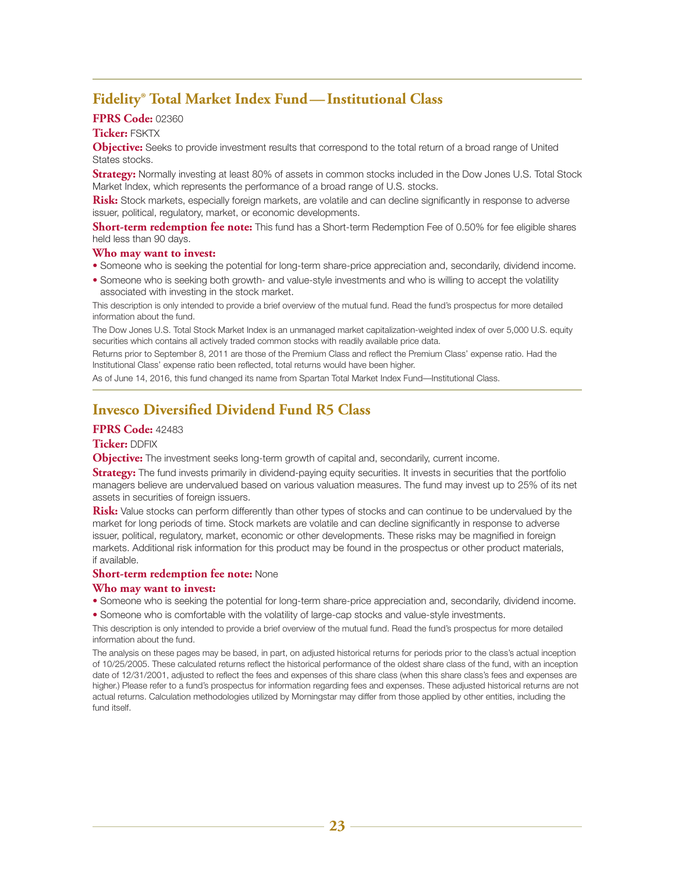## **Fidelity® Total Market Index Fund—Institutional Class**

#### **FPRS Code:** 02360

#### **Ticker:** FSKTX

**Objective:** Seeks to provide investment results that correspond to the total return of a broad range of United States stocks.

**Strategy:** Normally investing at least 80% of assets in common stocks included in the Dow Jones U.S. Total Stock Market Index, which represents the performance of a broad range of U.S. stocks.

**Risk:** Stock markets, especially foreign markets, are volatile and can decline significantly in response to adverse issuer, political, regulatory, market, or economic developments.

**Short-term redemption fee note:** This fund has a Short-term Redemption Fee of 0.50% for fee eligible shares held less than 90 days.

#### **Who may want to invest:**

- Someone who is seeking the potential for long-term share-price appreciation and, secondarily, dividend income.
- Someone who is seeking both growth- and value-style investments and who is willing to accept the volatility associated with investing in the stock market.

This description is only intended to provide a brief overview of the mutual fund. Read the fund's prospectus for more detailed information about the fund.

The Dow Jones U.S. Total Stock Market Index is an unmanaged market capitalization-weighted index of over 5,000 U.S. equity securities which contains all actively traded common stocks with readily available price data.

Returns prior to September 8, 2011 are those of the Premium Class and reflect the Premium Class' expense ratio. Had the Institutional Class' expense ratio been reflected, total returns would have been higher.

As of June 14, 2016, this fund changed its name from Spartan Total Market Index Fund—Institutional Class.

## **Invesco Diversified Dividend Fund R5 Class**

#### **FPRS Code:** 42483

#### **Ticker:** DDFIX

**Objective:** The investment seeks long-term growth of capital and, secondarily, current income.

**Strategy:** The fund invests primarily in dividend-paying equity securities. It invests in securities that the portfolio managers believe are undervalued based on various valuation measures. The fund may invest up to 25% of its net assets in securities of foreign issuers.

**Risk:** Value stocks can perform differently than other types of stocks and can continue to be undervalued by the market for long periods of time. Stock markets are volatile and can decline significantly in response to adverse issuer, political, regulatory, market, economic or other developments. These risks may be magnified in foreign markets. Additional risk information for this product may be found in the prospectus or other product materials, if available.

#### **Short-term redemption fee note:** None

#### **Who may want to invest:**

• Someone who is seeking the potential for long-term share-price appreciation and, secondarily, dividend income.

• Someone who is comfortable with the volatility of large-cap stocks and value-style investments.

This description is only intended to provide a brief overview of the mutual fund. Read the fund's prospectus for more detailed information about the fund.

The analysis on these pages may be based, in part, on adjusted historical returns for periods prior to the class's actual inception of 10/25/2005. These calculated returns reflect the historical performance of the oldest share class of the fund, with an inception date of 12/31/2001, adjusted to reflect the fees and expenses of this share class (when this share class's fees and expenses are higher.) Please refer to a fund's prospectus for information regarding fees and expenses. These adjusted historical returns are not actual returns. Calculation methodologies utilized by Morningstar may differ from those applied by other entities, including the fund itself.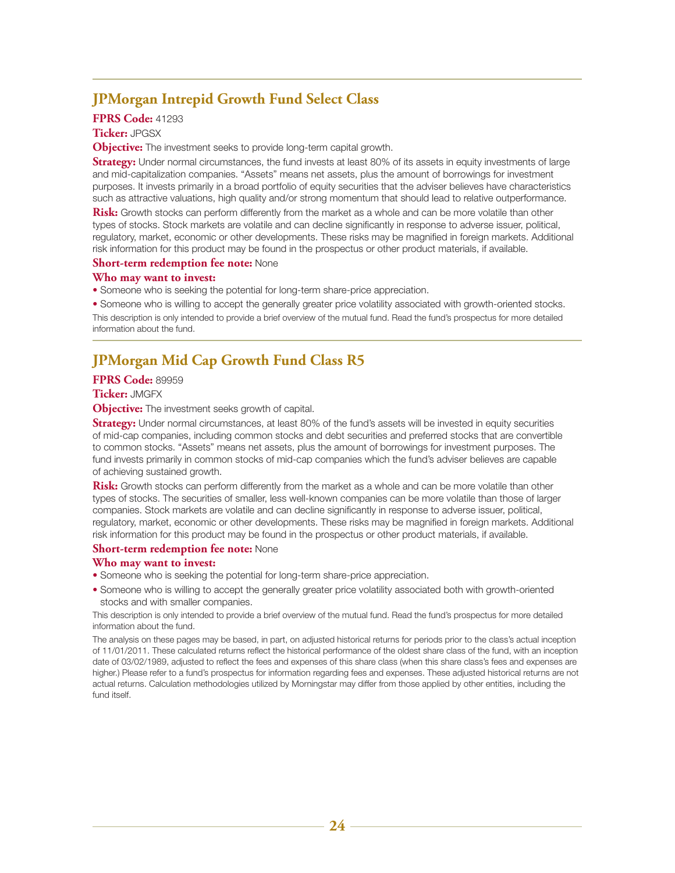## **JPMorgan Intrepid Growth Fund Select Class**

#### **FPRS Code:** 41293

#### **Ticker:** JPGSX

**Objective:** The investment seeks to provide long-term capital growth.

**Strategy:** Under normal circumstances, the fund invests at least 80% of its assets in equity investments of large and mid-capitalization companies. "Assets" means net assets, plus the amount of borrowings for investment purposes. It invests primarily in a broad portfolio of equity securities that the adviser believes have characteristics such as attractive valuations, high quality and/or strong momentum that should lead to relative outperformance.

**Risk:** Growth stocks can perform differently from the market as a whole and can be more volatile than other types of stocks. Stock markets are volatile and can decline significantly in response to adverse issuer, political, regulatory, market, economic or other developments. These risks may be magnified in foreign markets. Additional risk information for this product may be found in the prospectus or other product materials, if available.

#### **Short-term redemption fee note:** None

#### **Who may want to invest:**

• Someone who is seeking the potential for long-term share-price appreciation.

• Someone who is willing to accept the generally greater price volatility associated with growth-oriented stocks. This description is only intended to provide a brief overview of the mutual fund. Read the fund's prospectus for more detailed information about the fund.

## **JPMorgan Mid Cap Growth Fund Class R5**

#### **FPRS Code:** 89959

#### **Ticker:** JMGFX

**Objective:** The investment seeks growth of capital.

**Strategy:** Under normal circumstances, at least 80% of the fund's assets will be invested in equity securities of mid-cap companies, including common stocks and debt securities and preferred stocks that are convertible to common stocks. "Assets" means net assets, plus the amount of borrowings for investment purposes. The fund invests primarily in common stocks of mid-cap companies which the fund's adviser believes are capable of achieving sustained growth.

**Risk:** Growth stocks can perform differently from the market as a whole and can be more volatile than other types of stocks. The securities of smaller, less well-known companies can be more volatile than those of larger companies. Stock markets are volatile and can decline significantly in response to adverse issuer, political, regulatory, market, economic or other developments. These risks may be magnified in foreign markets. Additional risk information for this product may be found in the prospectus or other product materials, if available.

#### **Short-term redemption fee note:** None

#### **Who may want to invest:**

- Someone who is seeking the potential for long-term share-price appreciation.
- Someone who is willing to accept the generally greater price volatility associated both with growth-oriented stocks and with smaller companies.

This description is only intended to provide a brief overview of the mutual fund. Read the fund's prospectus for more detailed information about the fund.

The analysis on these pages may be based, in part, on adjusted historical returns for periods prior to the class's actual inception of 11/01/2011. These calculated returns reflect the historical performance of the oldest share class of the fund, with an inception date of 03/02/1989, adjusted to reflect the fees and expenses of this share class (when this share class's fees and expenses are higher.) Please refer to a fund's prospectus for information regarding fees and expenses. These adjusted historical returns are not actual returns. Calculation methodologies utilized by Morningstar may differ from those applied by other entities, including the fund itself.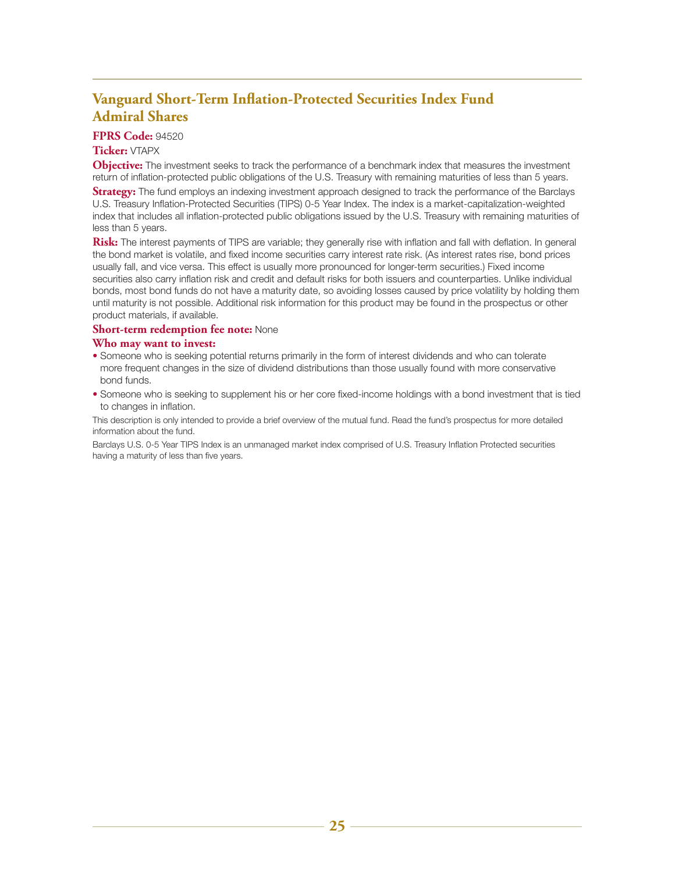## **Vanguard Short-Term Inflation-Protected Securities Index Fund Admiral Shares**

#### **FPRS Code:** 94520

#### **Ticker:** VTAPX

**Objective:** The investment seeks to track the performance of a benchmark index that measures the investment return of inflation-protected public obligations of the U.S. Treasury with remaining maturities of less than 5 years. **Strategy:** The fund employs an indexing investment approach designed to track the performance of the Barclays U.S. Treasury Inflation-Protected Securities (TIPS) 0-5 Year Index. The index is a market-capitalization-weighted index that includes all inflation-protected public obligations issued by the U.S. Treasury with remaining maturities of less than 5 years.

**Risk:** The interest payments of TIPS are variable; they generally rise with inflation and fall with deflation. In general the bond market is volatile, and fixed income securities carry interest rate risk. (As interest rates rise, bond prices usually fall, and vice versa. This effect is usually more pronounced for longer-term securities.) Fixed income securities also carry inflation risk and credit and default risks for both issuers and counterparties. Unlike individual bonds, most bond funds do not have a maturity date, so avoiding losses caused by price volatility by holding them until maturity is not possible. Additional risk information for this product may be found in the prospectus or other product materials, if available.

#### **Short-term redemption fee note:** None

#### **Who may want to invest:**

- Someone who is seeking potential returns primarily in the form of interest dividends and who can tolerate more frequent changes in the size of dividend distributions than those usually found with more conservative bond funds.
- Someone who is seeking to supplement his or her core fixed-income holdings with a bond investment that is tied to changes in inflation.

This description is only intended to provide a brief overview of the mutual fund. Read the fund's prospectus for more detailed information about the fund.

Barclays U.S. 0-5 Year TIPS Index is an unmanaged market index comprised of U.S. Treasury Inflation Protected securities having a maturity of less than five years.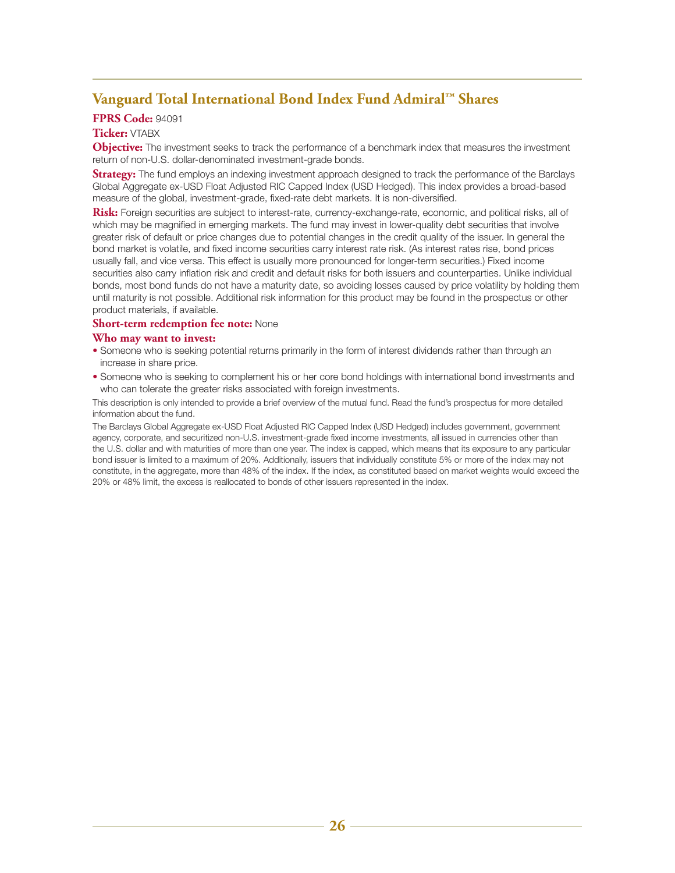## **Vanguard Total International Bond Index Fund Admiral™ Shares**

#### **FPRS Code:** 94091

#### **Ticker:** VTABX

**Objective:** The investment seeks to track the performance of a benchmark index that measures the investment return of non-U.S. dollar-denominated investment-grade bonds.

**Strategy:** The fund employs an indexing investment approach designed to track the performance of the Barclays Global Aggregate ex-USD Float Adjusted RIC Capped Index (USD Hedged). This index provides a broad-based measure of the global, investment-grade, fixed-rate debt markets. It is non-diversified.

**Risk:** Foreign securities are subject to interest-rate, currency-exchange-rate, economic, and political risks, all of which may be magnified in emerging markets. The fund may invest in lower-quality debt securities that involve greater risk of default or price changes due to potential changes in the credit quality of the issuer. In general the bond market is volatile, and fixed income securities carry interest rate risk. (As interest rates rise, bond prices usually fall, and vice versa. This effect is usually more pronounced for longer-term securities.) Fixed income securities also carry inflation risk and credit and default risks for both issuers and counterparties. Unlike individual bonds, most bond funds do not have a maturity date, so avoiding losses caused by price volatility by holding them until maturity is not possible. Additional risk information for this product may be found in the prospectus or other product materials, if available.

#### **Short-term redemption fee note:** None

#### **Who may want to invest:**

- Someone who is seeking potential returns primarily in the form of interest dividends rather than through an increase in share price.
- Someone who is seeking to complement his or her core bond holdings with international bond investments and who can tolerate the greater risks associated with foreign investments.

This description is only intended to provide a brief overview of the mutual fund. Read the fund's prospectus for more detailed information about the fund.

The Barclays Global Aggregate ex-USD Float Adjusted RIC Capped Index (USD Hedged) includes government, government agency, corporate, and securitized non-U.S. investment-grade fixed income investments, all issued in currencies other than the U.S. dollar and with maturities of more than one year. The index is capped, which means that its exposure to any particular bond issuer is limited to a maximum of 20%. Additionally, issuers that individually constitute 5% or more of the index may not constitute, in the aggregate, more than 48% of the index. If the index, as constituted based on market weights would exceed the 20% or 48% limit, the excess is reallocated to bonds of other issuers represented in the index.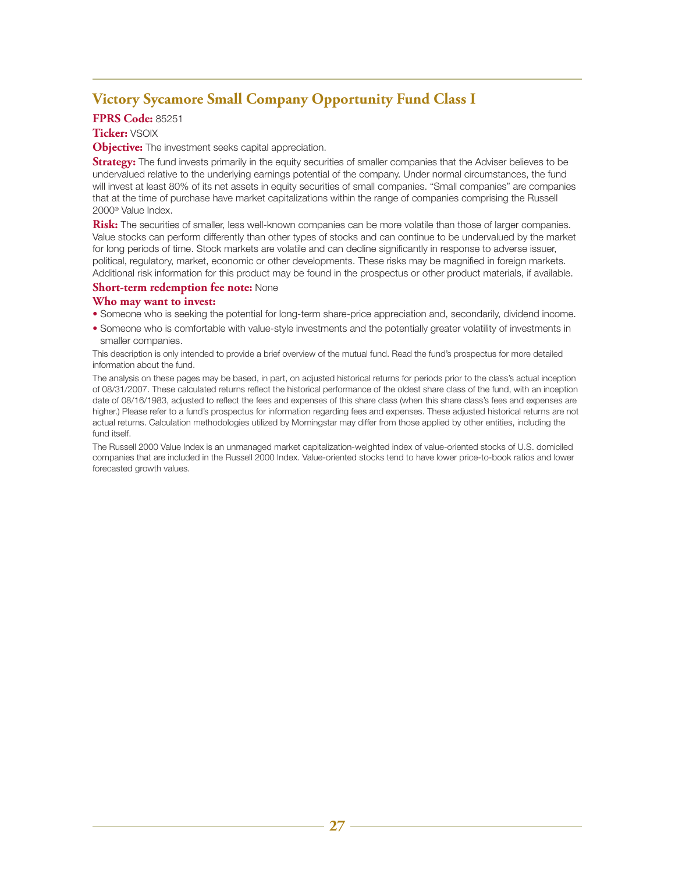## **Victory Sycamore Small Company Opportunity Fund Class I**

#### **FPRS Code:** 85251

#### **Ticker:** VSOIX

**Objective:** The investment seeks capital appreciation.

**Strategy:** The fund invests primarily in the equity securities of smaller companies that the Adviser believes to be undervalued relative to the underlying earnings potential of the company. Under normal circumstances, the fund will invest at least 80% of its net assets in equity securities of small companies. "Small companies" are companies that at the time of purchase have market capitalizations within the range of companies comprising the Russell 2000® Value Index.

**Risk:** The securities of smaller, less well-known companies can be more volatile than those of larger companies. Value stocks can perform differently than other types of stocks and can continue to be undervalued by the market for long periods of time. Stock markets are volatile and can decline significantly in response to adverse issuer, political, regulatory, market, economic or other developments. These risks may be magnified in foreign markets. Additional risk information for this product may be found in the prospectus or other product materials, if available.

#### **Short-term redemption fee note:** None

#### **Who may want to invest:**

- Someone who is seeking the potential for long-term share-price appreciation and, secondarily, dividend income.
- Someone who is comfortable with value-style investments and the potentially greater volatility of investments in smaller companies.

This description is only intended to provide a brief overview of the mutual fund. Read the fund's prospectus for more detailed information about the fund.

The analysis on these pages may be based, in part, on adjusted historical returns for periods prior to the class's actual inception of 08/31/2007. These calculated returns reflect the historical performance of the oldest share class of the fund, with an inception date of 08/16/1983, adjusted to reflect the fees and expenses of this share class (when this share class's fees and expenses are higher.) Please refer to a fund's prospectus for information regarding fees and expenses. These adjusted historical returns are not actual returns. Calculation methodologies utilized by Morningstar may differ from those applied by other entities, including the fund itself.

The Russell 2000 Value Index is an unmanaged market capitalization-weighted index of value-oriented stocks of U.S. domiciled companies that are included in the Russell 2000 Index. Value-oriented stocks tend to have lower price-to-book ratios and lower forecasted growth values.